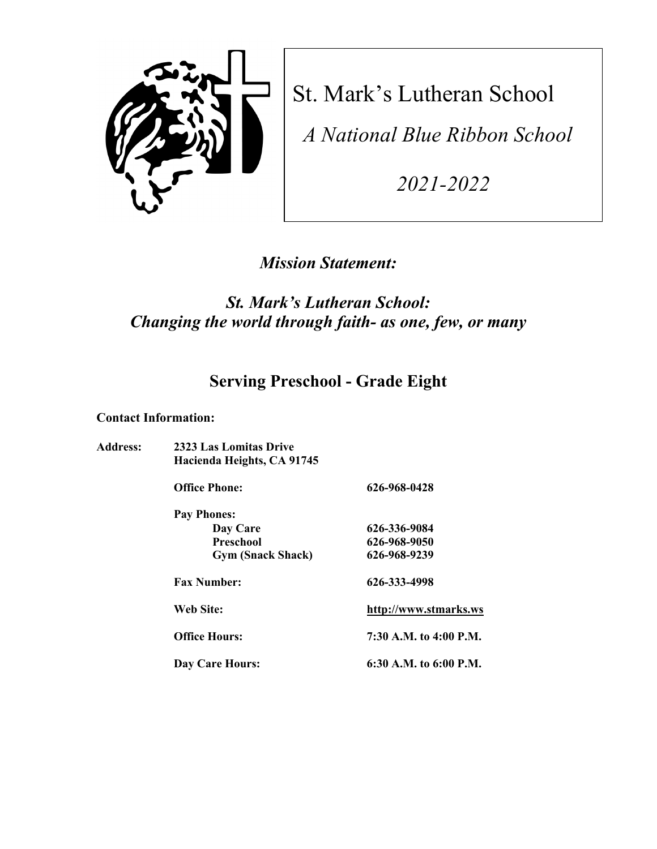

St. Mark's Lutheran School

*A National Blue Ribbon School*

*2021-2022*

# *Mission Statement:*

# *St. Mark's Lutheran School: Changing the world through faith- as one, few, or many*

# **Serving Preschool - Grade Eight**

#### **Contact Information:**

| <b>Address:</b> | 2323 Las Lomitas Drive<br>Hacienda Heights, CA 91745 |                          |  |
|-----------------|------------------------------------------------------|--------------------------|--|
|                 | <b>Office Phone:</b>                                 | 626-968-0428             |  |
|                 | <b>Pay Phones:</b>                                   |                          |  |
|                 | Day Care                                             | 626-336-9084             |  |
|                 | Preschool                                            | 626-968-9050             |  |
|                 | <b>Gym (Snack Shack)</b>                             | 626-968-9239             |  |
|                 | <b>Fax Number:</b>                                   | 626-333-4998             |  |
|                 | Web Site:                                            | http://www.stmarks.ws    |  |
|                 | <b>Office Hours:</b>                                 | 7:30 A.M. to 4:00 P.M.   |  |
|                 | Day Care Hours:                                      | 6:30 A.M. to $6:00$ P.M. |  |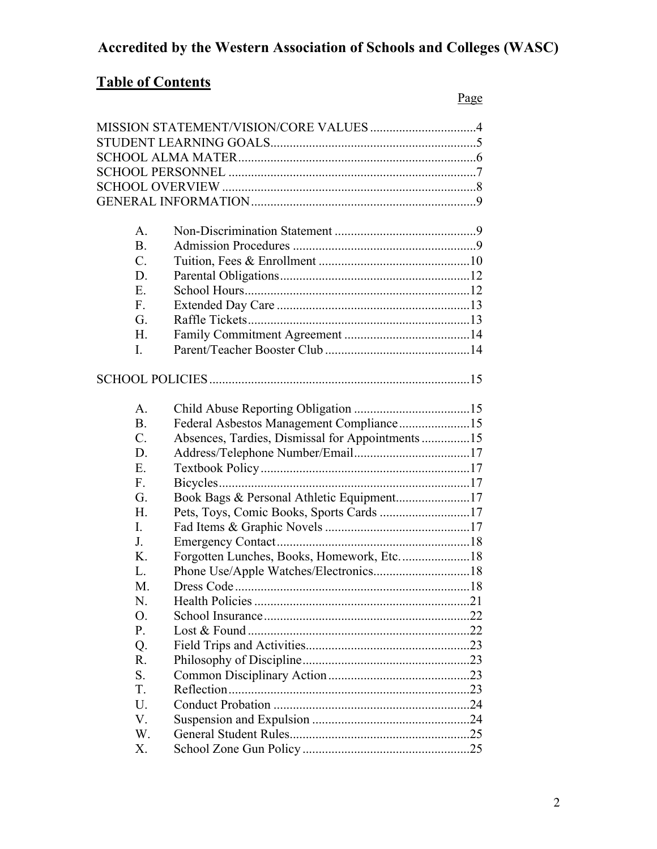# **Accredited by the Western Association of Schools and Colleges (WASC)**

# **Table of Contents**

| A.              |                                                  |
|-----------------|--------------------------------------------------|
| <b>B.</b>       |                                                  |
| C.              |                                                  |
| D.              |                                                  |
| E.              |                                                  |
| F.              |                                                  |
| G.              |                                                  |
| H.              |                                                  |
| I.              |                                                  |
|                 |                                                  |
|                 |                                                  |
|                 |                                                  |
| A.              |                                                  |
| <b>B.</b>       | Federal Asbestos Management Compliance15         |
| $\mathcal{C}$ . | Absences, Tardies, Dismissal for Appointments 15 |
| D.              |                                                  |
| E.              |                                                  |
| F.              |                                                  |
| G.              | Book Bags & Personal Athletic Equipment17        |
| Н.              |                                                  |
| I.              |                                                  |
| J.              |                                                  |
| Κ.              | Forgotten Lunches, Books, Homework, Etc18        |
| L.              |                                                  |
| M.              |                                                  |
| N.              |                                                  |
| Ο.              |                                                  |
| P.              |                                                  |
| Q.              |                                                  |
| R.              |                                                  |
| S.              |                                                  |
| T.              |                                                  |
| U.              |                                                  |
| V.              |                                                  |
| W.              |                                                  |
| Х.              |                                                  |
|                 |                                                  |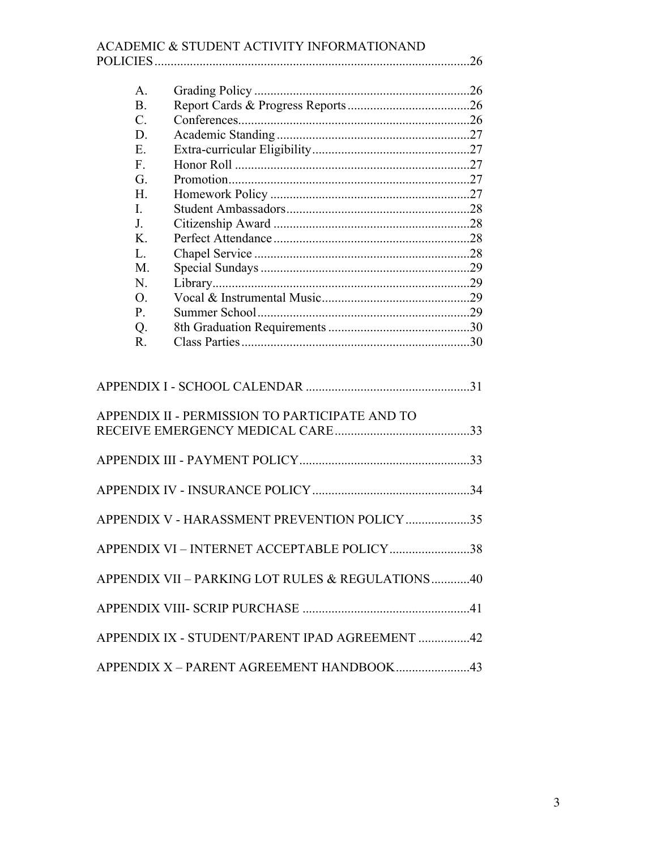|                          | ACADEMIC & STUDENT ACTIVITY INFORMATIONAND       |
|--------------------------|--------------------------------------------------|
|                          |                                                  |
| A.                       |                                                  |
| <b>B.</b><br>$C_{\cdot}$ |                                                  |
|                          |                                                  |
| D.                       |                                                  |
| E.                       |                                                  |
| F.<br>G.                 |                                                  |
| H.                       |                                                  |
|                          |                                                  |
| I.                       |                                                  |
| J.                       |                                                  |
| K.                       |                                                  |
| L.                       |                                                  |
| M.                       |                                                  |
| N.                       |                                                  |
| $\Omega$ .               |                                                  |
| P.                       |                                                  |
| Q.<br>R.                 |                                                  |
|                          |                                                  |
|                          | APPENDIX II - PERMISSION TO PARTICIPATE AND TO   |
|                          |                                                  |
|                          |                                                  |
|                          |                                                  |
|                          | APPENDIX V - HARASSMENT PREVENTION POLICY 35     |
|                          | APPENDIX VI - INTERNET ACCEPTABLE POLICY 38      |
|                          | APPENDIX VII - PARKING LOT RULES & REGULATIONS40 |
|                          |                                                  |
|                          | APPENDIX IX - STUDENT/PARENT IPAD AGREEMENT 42   |
|                          | APPENDIX X - PARENT AGREEMENT HANDBOOK43         |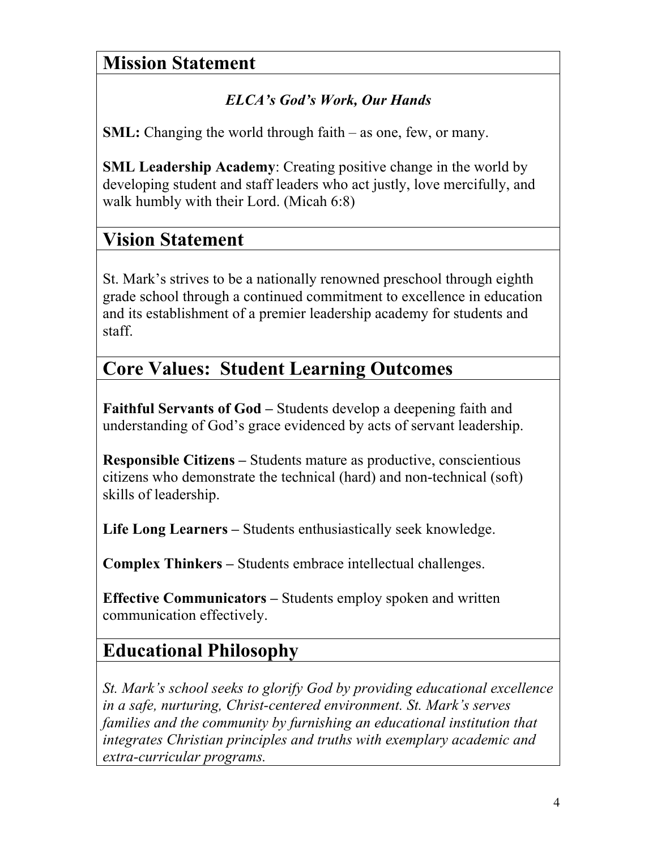# **Mission Statement**

# *ELCA's God's Work, Our Hands*

**SML:** Changing the world through faith – as one, few, or many.

**SML Leadership Academy**: Creating positive change in the world by developing student and staff leaders who act justly, love mercifully, and walk humbly with their Lord. (Micah 6:8)

# **Vision Statement**

St. Mark's strives to be a nationally renowned preschool through eighth grade school through a continued commitment to excellence in education and its establishment of a premier leadership academy for students and staff.

# **Core Values: Student Learning Outcomes**

**Faithful Servants of God –** Students develop a deepening faith and understanding of God's grace evidenced by acts of servant leadership.

**Responsible Citizens –** Students mature as productive, conscientious citizens who demonstrate the technical (hard) and non-technical (soft) skills of leadership.

**Life Long Learners –** Students enthusiastically seek knowledge.

**Complex Thinkers –** Students embrace intellectual challenges.

**Effective Communicators –** Students employ spoken and written communication effectively.

# **Educational Philosophy**

*St. Mark's school seeks to glorify God by providing educational excellence in a safe, nurturing, Christ-centered environment. St. Mark's serves families and the community by furnishing an educational institution that integrates Christian principles and truths with exemplary academic and extra-curricular programs.*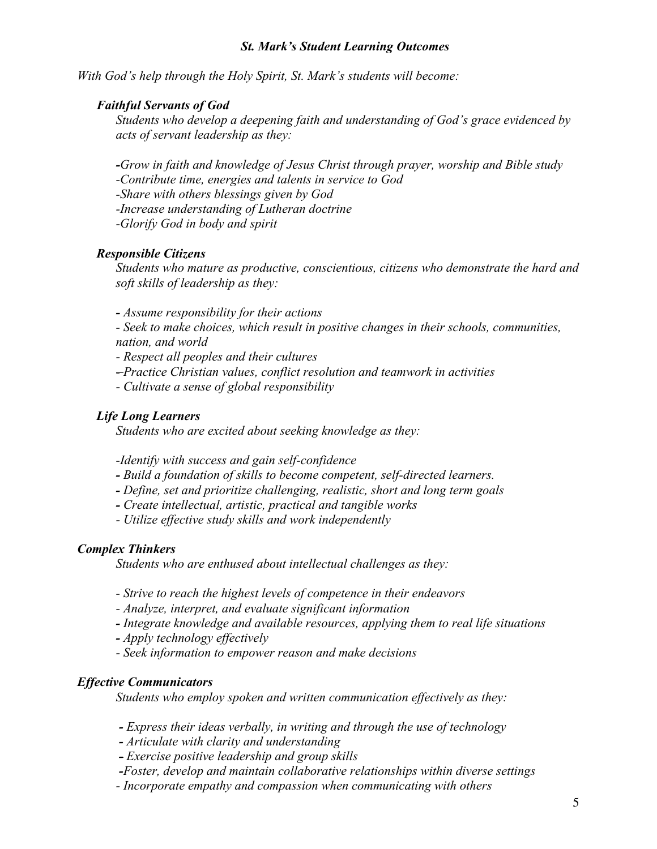#### *St. Mark's Student Learning Outcomes*

*With God's help through the Holy Spirit, St. Mark's students will become:*

#### *Faithful Servants of God*

*Students who develop a deepening faith and understanding of God's grace evidenced by acts of servant leadership as they:*

*-Grow in faith and knowledge of Jesus Christ through prayer, worship and Bible study*

*-Contribute time, energies and talents in service to God*

*-Share with others blessings given by God*

*-Increase understanding of Lutheran doctrine*

*-Glorify God in body and spirit*

#### *Responsible Citizens*

*Students who mature as productive, conscientious, citizens who demonstrate the hard and soft skills of leadership as they:*

*- Assume responsibility for their actions*

*- Seek to make choices, which result in positive changes in their schools, communities, nation, and world*

*- Respect all peoples and their cultures*

*- Practice Christian values, conflict resolution and teamwork in activities*

*- Cultivate a sense of global responsibility*

#### *Life Long Learners*

*Students who are excited about seeking knowledge as they:*

*-Identify with success and gain self-confidence*

- *- Build a foundation of skills to become competent, self-directed learners.*
- *- Define, set and prioritize challenging, realistic, short and long term goals*
- *- Create intellectual, artistic, practical and tangible works*

*- Utilize effective study skills and work independently*

#### *Complex Thinkers*

*Students who are enthused about intellectual challenges as they:*

*- Strive to reach the highest levels of competence in their endeavors*

- *- Analyze, interpret, and evaluate significant information*
- *- Integrate knowledge and available resources, applying them to real life situations*
- *- Apply technology effectively*
- *- Seek information to empower reason and make decisions*

#### *Effective Communicators*

*Students who employ spoken and written communication effectively as they:*

*- Express their ideas verbally, in writing and through the use of technology*

*- Articulate with clarity and understanding*

*- Exercise positive leadership and group skills*

- *-Foster, develop and maintain collaborative relationships within diverse settings*
- *- Incorporate empathy and compassion when communicating with others*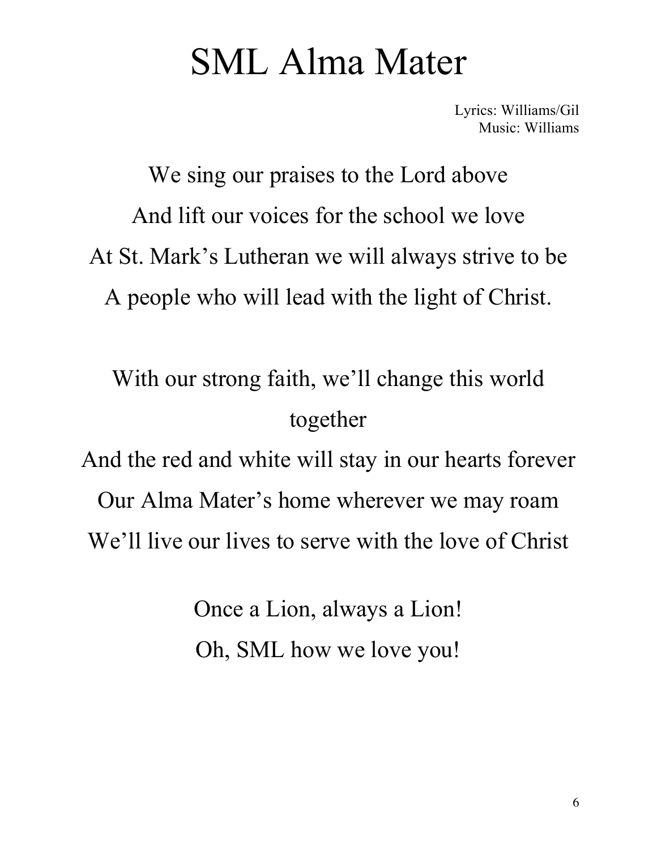# SML Alma Mater

Lyrics: Williams/Gil Music: Williams

We sing our praises to the Lord above And lift our voices for the school we love At St. Mark's Lutheran we will always strive to be A people who will lead with the light of Christ.

With our strong faith, we'll change this world together

And the red and white will stay in our hearts forever Our Alma Mater's home wherever we may roam We'll live our lives to serve with the love of Christ

> Once a Lion, always a Lion! Oh, SML how we love you!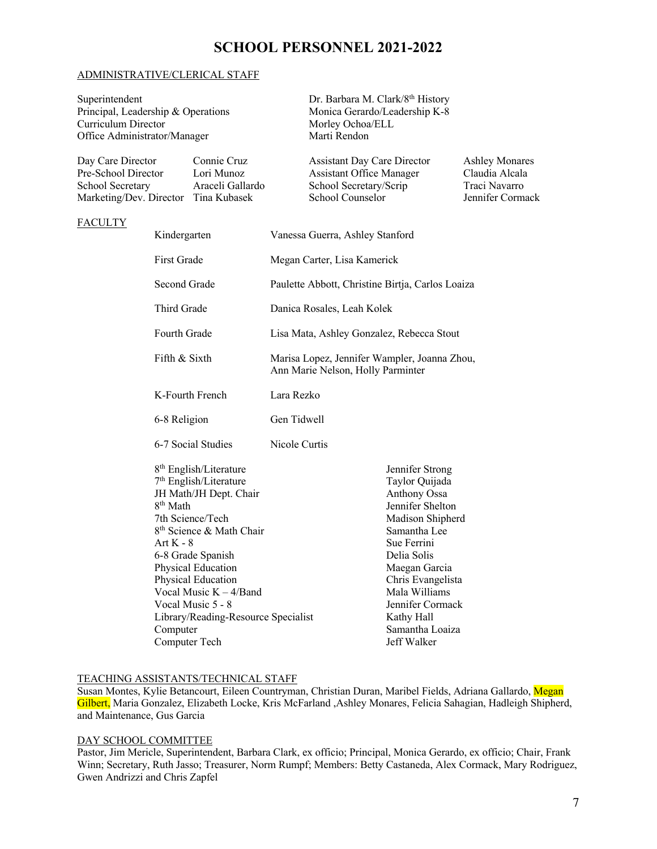# **SCHOOL PERSONNEL 2021-2022**

#### ADMINISTRATIVE/CLERICAL STAFF

Superintendent Dr. Barbara M. Clark/8<sup>th</sup> History Principal, Leadership & Operations Monica Gerardo/Leadership K-8 Curriculum Director Morley Ochoa/ELL Office Administrator/Manager Marti Rendon

| Day Care Director                    | Connie Cruz      | <b>Assistant Day Care Director</b> | <b>Ashley Monares</b> |
|--------------------------------------|------------------|------------------------------------|-----------------------|
| Pre-School Director                  | Lori Munoz       | <b>Assistant Office Manager</b>    | Claudia Alcala        |
| School Secretary                     | Araceli Gallardo | School Secretary/Scrip             | Traci Navarro         |
| Marketing/Dev. Director Tina Kubasek |                  | School Counselor                   | Jennifer Cormack      |

#### **FACULTY**

| Kindergarten                                                                                                                                                                                                                                                                                                                                                                                 | Vanessa Guerra, Ashley Stanford                                                   |                                                                                                                                                                                                                                                                           |  |
|----------------------------------------------------------------------------------------------------------------------------------------------------------------------------------------------------------------------------------------------------------------------------------------------------------------------------------------------------------------------------------------------|-----------------------------------------------------------------------------------|---------------------------------------------------------------------------------------------------------------------------------------------------------------------------------------------------------------------------------------------------------------------------|--|
| <b>First Grade</b>                                                                                                                                                                                                                                                                                                                                                                           | Megan Carter, Lisa Kamerick                                                       |                                                                                                                                                                                                                                                                           |  |
| Second Grade                                                                                                                                                                                                                                                                                                                                                                                 | Paulette Abbott, Christine Birtja, Carlos Loaiza                                  |                                                                                                                                                                                                                                                                           |  |
| Third Grade                                                                                                                                                                                                                                                                                                                                                                                  | Danica Rosales, Leah Kolek                                                        |                                                                                                                                                                                                                                                                           |  |
| Fourth Grade                                                                                                                                                                                                                                                                                                                                                                                 | Lisa Mata, Ashley Gonzalez, Rebecca Stout                                         |                                                                                                                                                                                                                                                                           |  |
| Fifth & Sixth                                                                                                                                                                                                                                                                                                                                                                                | Marisa Lopez, Jennifer Wampler, Joanna Zhou,<br>Ann Marie Nelson, Holly Parminter |                                                                                                                                                                                                                                                                           |  |
| K-Fourth French                                                                                                                                                                                                                                                                                                                                                                              | Lara Rezko                                                                        |                                                                                                                                                                                                                                                                           |  |
| 6-8 Religion                                                                                                                                                                                                                                                                                                                                                                                 | Gen Tidwell                                                                       |                                                                                                                                                                                                                                                                           |  |
| 6-7 Social Studies                                                                                                                                                                                                                                                                                                                                                                           | Nicole Curtis                                                                     |                                                                                                                                                                                                                                                                           |  |
| 8 <sup>th</sup> English/Literature<br>7 <sup>th</sup> English/Literature<br>JH Math/JH Dept. Chair<br>8 <sup>th</sup> Math<br>7th Science/Tech<br>8 <sup>th</sup> Science & Math Chair<br>Art $K - 8$<br>6-8 Grade Spanish<br>Physical Education<br>Physical Education<br>Vocal Music $K - 4/B$ and<br>Vocal Music 5 - 8<br>Library/Reading-Resource Specialist<br>Computer<br>Computer Tech |                                                                                   | Jennifer Strong<br>Taylor Quijada<br><b>Anthony Ossa</b><br>Jennifer Shelton<br>Madison Shipherd<br>Samantha Lee<br>Sue Ferrini<br>Delia Solis<br>Maegan Garcia<br>Chris Evangelista<br>Mala Williams<br>Jennifer Cormack<br>Kathy Hall<br>Samantha Loaiza<br>Jeff Walker |  |

#### TEACHING ASSISTANTS/TECHNICAL STAFF

Susan Montes, Kylie Betancourt, Eileen Countryman, Christian Duran, Maribel Fields, Adriana Gallardo, Megan Gilbert, Maria Gonzalez, Elizabeth Locke, Kris McFarland ,Ashley Monares, Felicia Sahagian, Hadleigh Shipherd, and Maintenance, Gus Garcia

#### DAY SCHOOL COMMITTEE

Pastor, Jim Mericle, Superintendent, Barbara Clark, ex officio; Principal, Monica Gerardo, ex officio; Chair, Frank Winn; Secretary, Ruth Jasso; Treasurer, Norm Rumpf; Members: Betty Castaneda, Alex Cormack, Mary Rodriguez, Gwen Andrizzi and Chris Zapfel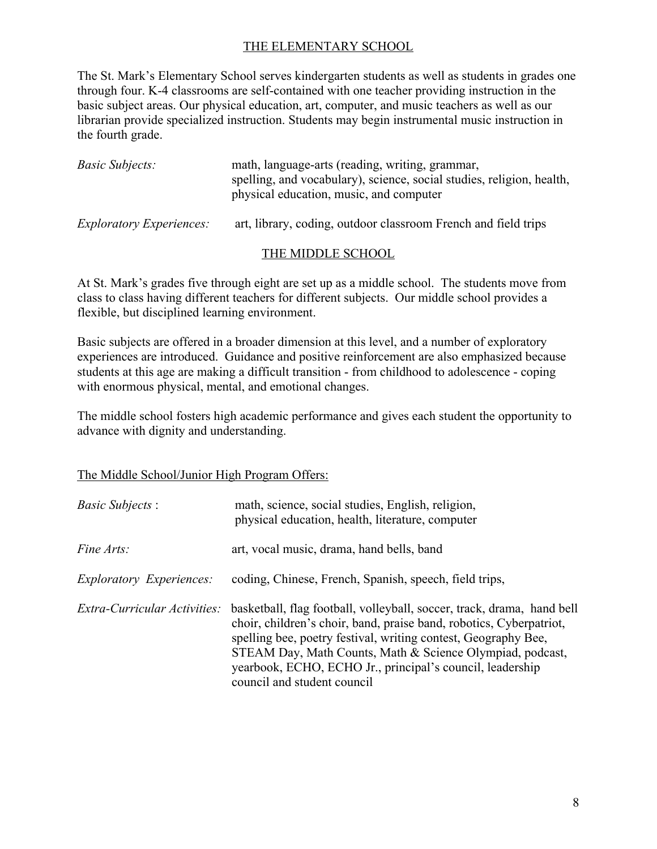# THE ELEMENTARY SCHOOL

The St. Mark's Elementary School serves kindergarten students as well as students in grades one through four. K-4 classrooms are self-contained with one teacher providing instruction in the basic subject areas. Our physical education, art, computer, and music teachers as well as our librarian provide specialized instruction. Students may begin instrumental music instruction in the fourth grade.

| <i>Basic Subjects:</i>          | math, language-arts (reading, writing, grammar,<br>spelling, and vocabulary), science, social studies, religion, health,<br>physical education, music, and computer |  |
|---------------------------------|---------------------------------------------------------------------------------------------------------------------------------------------------------------------|--|
| <i>Exploratory Experiences:</i> | art, library, coding, outdoor classroom French and field trips                                                                                                      |  |

## THE MIDDLE SCHOOL

At St. Mark's grades five through eight are set up as a middle school. The students move from class to class having different teachers for different subjects. Our middle school provides a flexible, but disciplined learning environment.

Basic subjects are offered in a broader dimension at this level, and a number of exploratory experiences are introduced. Guidance and positive reinforcement are also emphasized because students at this age are making a difficult transition - from childhood to adolescence - coping with enormous physical, mental, and emotional changes.

The middle school fosters high academic performance and gives each student the opportunity to advance with dignity and understanding.

## The Middle School/Junior High Program Offers:

| <i>Basic Subjects:</i>          | math, science, social studies, English, religion,<br>physical education, health, literature, computer                                                                                                                                                                                                                                                                    |
|---------------------------------|--------------------------------------------------------------------------------------------------------------------------------------------------------------------------------------------------------------------------------------------------------------------------------------------------------------------------------------------------------------------------|
| <i>Fine Arts:</i>               | art, vocal music, drama, hand bells, band                                                                                                                                                                                                                                                                                                                                |
| <i>Exploratory Experiences:</i> | coding, Chinese, French, Spanish, speech, field trips,                                                                                                                                                                                                                                                                                                                   |
| Extra-Curricular Activities:    | basketball, flag football, volleyball, soccer, track, drama, hand bell<br>choir, children's choir, band, praise band, robotics, Cyberpatriot,<br>spelling bee, poetry festival, writing contest, Geography Bee,<br>STEAM Day, Math Counts, Math & Science Olympiad, podcast,<br>yearbook, ECHO, ECHO Jr., principal's council, leadership<br>council and student council |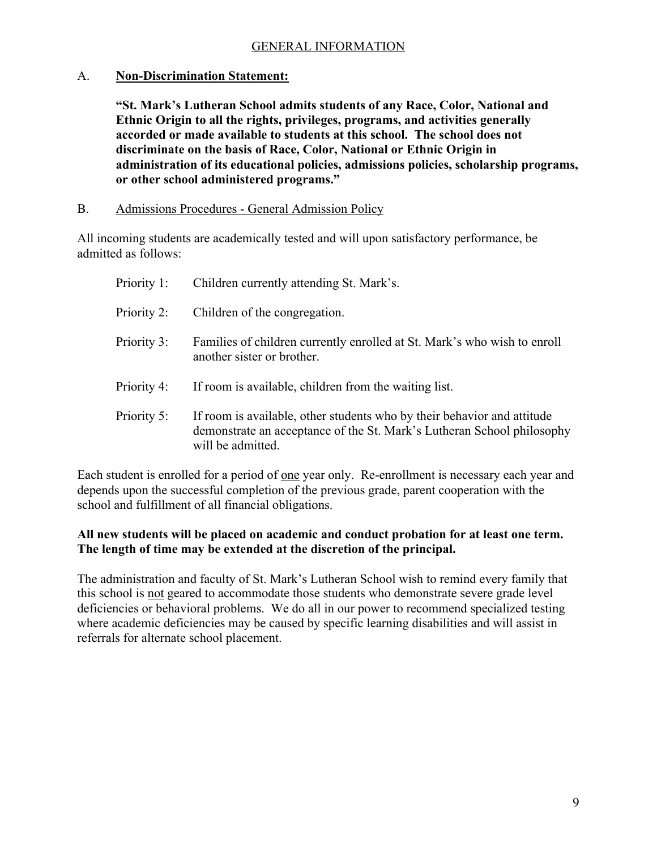## A. **Non-Discrimination Statement:**

**"St. Mark's Lutheran School admits students of any Race, Color, National and Ethnic Origin to all the rights, privileges, programs, and activities generally accorded or made available to students at this school. The school does not discriminate on the basis of Race, Color, National or Ethnic Origin in administration of its educational policies, admissions policies, scholarship programs, or other school administered programs."**

B. Admissions Procedures - General Admission Policy

All incoming students are academically tested and will upon satisfactory performance, be admitted as follows:

| Priority 1: | Children currently attending St. Mark's.                                                                                                                               |
|-------------|------------------------------------------------------------------------------------------------------------------------------------------------------------------------|
| Priority 2: | Children of the congregation.                                                                                                                                          |
| Priority 3: | Families of children currently enrolled at St. Mark's who wish to enroll<br>another sister or brother.                                                                 |
| Priority 4: | If room is available, children from the waiting list.                                                                                                                  |
| Priority 5: | If room is available, other students who by their behavior and attitude<br>demonstrate an acceptance of the St. Mark's Lutheran School philosophy<br>will be admitted. |

Each student is enrolled for a period of one year only. Re-enrollment is necessary each year and depends upon the successful completion of the previous grade, parent cooperation with the school and fulfillment of all financial obligations.

## **All new students will be placed on academic and conduct probation for at least one term. The length of time may be extended at the discretion of the principal.**

The administration and faculty of St. Mark's Lutheran School wish to remind every family that this school is not geared to accommodate those students who demonstrate severe grade level deficiencies or behavioral problems. We do all in our power to recommend specialized testing where academic deficiencies may be caused by specific learning disabilities and will assist in referrals for alternate school placement.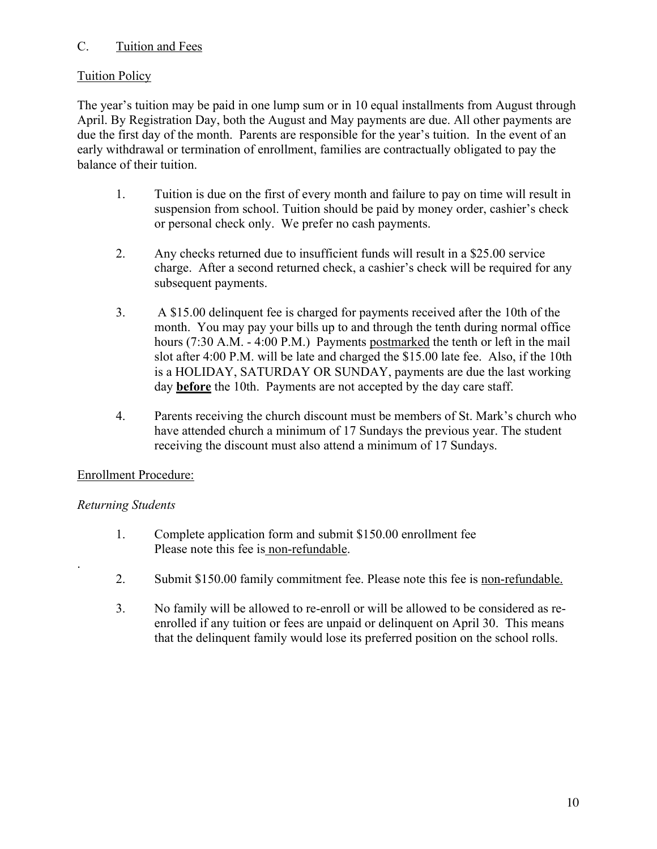# C. Tuition and Fees

# Tuition Policy

The year's tuition may be paid in one lump sum or in 10 equal installments from August through April. By Registration Day, both the August and May payments are due. All other payments are due the first day of the month. Parents are responsible for the year's tuition. In the event of an early withdrawal or termination of enrollment, families are contractually obligated to pay the balance of their tuition.

- 1. Tuition is due on the first of every month and failure to pay on time will result in suspension from school. Tuition should be paid by money order, cashier's check or personal check only. We prefer no cash payments.
- 2. Any checks returned due to insufficient funds will result in a \$25.00 service charge. After a second returned check, a cashier's check will be required for any subsequent payments.
- 3. A \$15.00 delinquent fee is charged for payments received after the 10th of the month. You may pay your bills up to and through the tenth during normal office hours (7:30 A.M. - 4:00 P.M.) Payments postmarked the tenth or left in the mail slot after 4:00 P.M. will be late and charged the \$15.00 late fee. Also, if the 10th is a HOLIDAY, SATURDAY OR SUNDAY, payments are due the last working day **before** the 10th. Payments are not accepted by the day care staff.
- 4. Parents receiving the church discount must be members of St. Mark's church who have attended church a minimum of 17 Sundays the previous year. The student receiving the discount must also attend a minimum of 17 Sundays.

# Enrollment Procedure:

# *Returning Students*

.

- 1. Complete application form and submit \$150.00 enrollment fee Please note this fee is non-refundable.
- 2. Submit \$150.00 family commitment fee. Please note this fee is non-refundable.
- 3. No family will be allowed to re-enroll or will be allowed to be considered as reenrolled if any tuition or fees are unpaid or delinquent on April 30. This means that the delinquent family would lose its preferred position on the school rolls.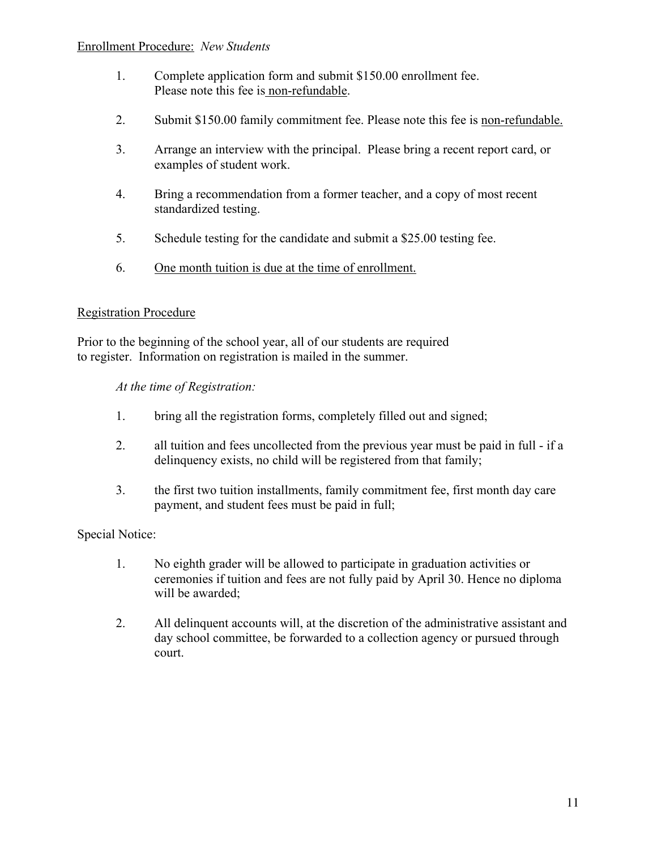#### Enrollment Procedure: *New Students*

- 1. Complete application form and submit \$150.00 enrollment fee. Please note this fee is non-refundable.
- 2. Submit \$150.00 family commitment fee. Please note this fee is non-refundable.
- 3. Arrange an interview with the principal. Please bring a recent report card, or examples of student work.
- 4. Bring a recommendation from a former teacher, and a copy of most recent standardized testing.
- 5. Schedule testing for the candidate and submit a \$25.00 testing fee.
- 6. One month tuition is due at the time of enrollment.

## Registration Procedure

Prior to the beginning of the school year, all of our students are required to register. Information on registration is mailed in the summer.

#### *At the time of Registration:*

- 1. bring all the registration forms, completely filled out and signed;
- 2. all tuition and fees uncollected from the previous year must be paid in full if a delinquency exists, no child will be registered from that family;
- 3. the first two tuition installments, family commitment fee, first month day care payment, and student fees must be paid in full;

## Special Notice:

- 1. No eighth grader will be allowed to participate in graduation activities or ceremonies if tuition and fees are not fully paid by April 30. Hence no diploma will be awarded;
- 2. All delinquent accounts will, at the discretion of the administrative assistant and day school committee, be forwarded to a collection agency or pursued through court.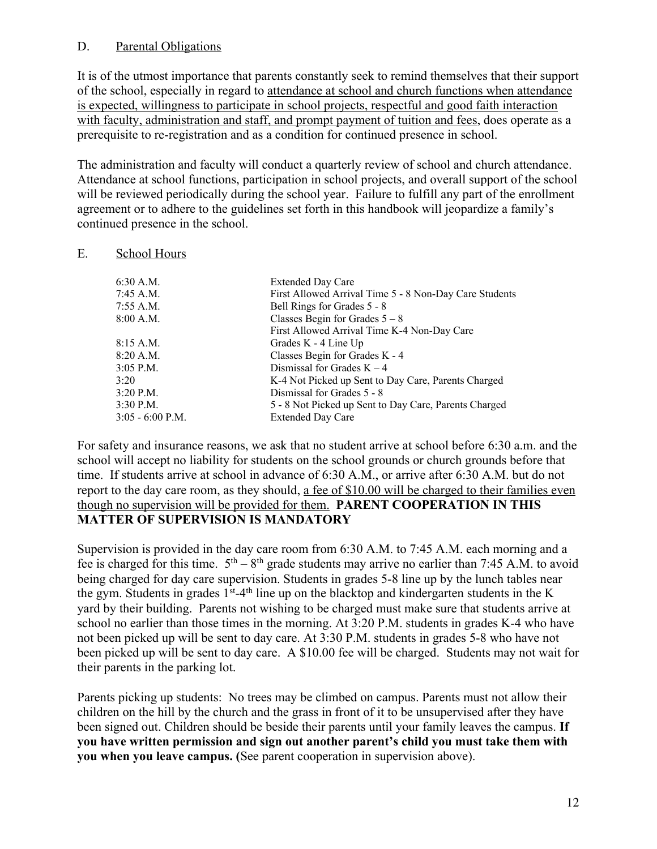## D. Parental Obligations

It is of the utmost importance that parents constantly seek to remind themselves that their support of the school, especially in regard to attendance at school and church functions when attendance is expected, willingness to participate in school projects, respectful and good faith interaction with faculty, administration and staff, and prompt payment of tuition and fees, does operate as a prerequisite to re-registration and as a condition for continued presence in school.

The administration and faculty will conduct a quarterly review of school and church attendance. Attendance at school functions, participation in school projects, and overall support of the school will be reviewed periodically during the school year. Failure to fulfill any part of the enrollment agreement or to adhere to the guidelines set forth in this handbook will jeopardize a family's continued presence in the school.

## E. School Hours

| 6:30 A.M.        | <b>Extended Day Care</b>                               |
|------------------|--------------------------------------------------------|
| 7:45 A.M.        | First Allowed Arrival Time 5 - 8 Non-Day Care Students |
| 7:55 A.M.        | Bell Rings for Grades 5 - 8                            |
| 8:00 A.M.        | Classes Begin for Grades $5 - 8$                       |
|                  | First Allowed Arrival Time K-4 Non-Day Care            |
| 8:15 A.M.        | Grades K - 4 Line Up                                   |
| 8:20 A.M.        | Classes Begin for Grades K - 4                         |
| 3:05 P.M.        | Dismissal for Grades $K - 4$                           |
| 3:20             | K-4 Not Picked up Sent to Day Care, Parents Charged    |
| 3:20 P.M.        | Dismissal for Grades 5 - 8                             |
| 3:30 P.M.        | 5 - 8 Not Picked up Sent to Day Care, Parents Charged  |
| 3:05 - 6:00 P.M. | <b>Extended Day Care</b>                               |
|                  |                                                        |

For safety and insurance reasons, we ask that no student arrive at school before 6:30 a.m. and the school will accept no liability for students on the school grounds or church grounds before that time. If students arrive at school in advance of 6:30 A.M., or arrive after 6:30 A.M. but do not report to the day care room, as they should, a fee of \$10.00 will be charged to their families even though no supervision will be provided for them. **PARENT COOPERATION IN THIS MATTER OF SUPERVISION IS MANDATORY**

Supervision is provided in the day care room from 6:30 A.M. to 7:45 A.M. each morning and a fee is charged for this time.  $5<sup>th</sup> - 8<sup>th</sup>$  grade students may arrive no earlier than 7:45 A.M. to avoid being charged for day care supervision. Students in grades 5-8 line up by the lunch tables near the gym. Students in grades  $1<sup>st</sup>$ -4<sup>th</sup> line up on the blacktop and kindergarten students in the K yard by their building. Parents not wishing to be charged must make sure that students arrive at school no earlier than those times in the morning. At 3:20 P.M. students in grades K-4 who have not been picked up will be sent to day care. At 3:30 P.M. students in grades 5-8 who have not been picked up will be sent to day care. A \$10.00 fee will be charged. Students may not wait for their parents in the parking lot.

Parents picking up students: No trees may be climbed on campus. Parents must not allow their children on the hill by the church and the grass in front of it to be unsupervised after they have been signed out. Children should be beside their parents until your family leaves the campus. **If you have written permission and sign out another parent's child you must take them with you when you leave campus. (**See parent cooperation in supervision above).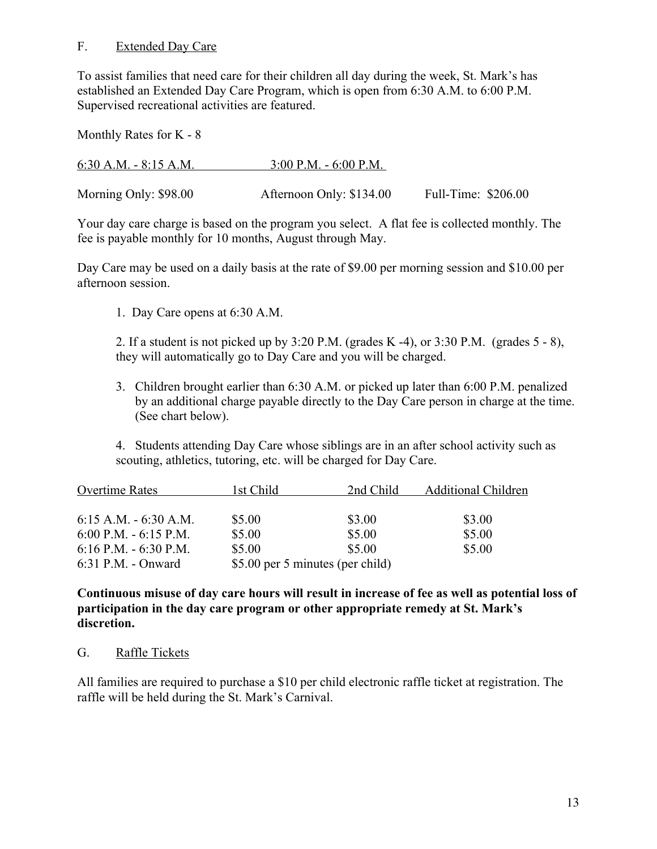#### F. Extended Day Care

To assist families that need care for their children all day during the week, St. Mark's has established an Extended Day Care Program, which is open from 6:30 A.M. to 6:00 P.M. Supervised recreational activities are featured.

Monthly Rates for K - 8

| 6:30 A.M. $-$ 8:15 A.M. | $3:00$ P.M. - 6:00 P.M.  |                     |
|-------------------------|--------------------------|---------------------|
|                         |                          |                     |
| Morning Only: \$98.00   | Afternoon Only: \$134.00 | Full-Time: \$206.00 |

Your day care charge is based on the program you select. A flat fee is collected monthly. The fee is payable monthly for 10 months, August through May.

Day Care may be used on a daily basis at the rate of \$9.00 per morning session and \$10.00 per afternoon session.

1. Day Care opens at 6:30 A.M.

2. If a student is not picked up by 3:20 P.M. (grades  $K - 4$ ), or 3:30 P.M. (grades  $5 - 8$ ), they will automatically go to Day Care and you will be charged.

3. Children brought earlier than 6:30 A.M. or picked up later than 6:00 P.M. penalized by an additional charge payable directly to the Day Care person in charge at the time. (See chart below).

4. Students attending Day Care whose siblings are in an after school activity such as scouting, athletics, tutoring, etc. will be charged for Day Care.

| <b>Overtime Rates</b>    | 1st Child                        | 2nd Child | <b>Additional Children</b> |
|--------------------------|----------------------------------|-----------|----------------------------|
|                          |                                  |           |                            |
| $6:15$ A.M. $-6:30$ A.M. | \$5.00                           | \$3.00    | \$3.00                     |
| 6:00 P.M. $-$ 6:15 P.M.  | \$5.00                           | \$5.00    | \$5.00                     |
| 6:16 P.M. $-$ 6:30 P.M.  | \$5.00                           | \$5.00    | \$5.00                     |
| 6:31 P.M. - Onward       | \$5.00 per 5 minutes (per child) |           |                            |

**Continuous misuse of day care hours will result in increase of fee as well as potential loss of participation in the day care program or other appropriate remedy at St. Mark's discretion.**

#### G. Raffle Tickets

All families are required to purchase a \$10 per child electronic raffle ticket at registration. The raffle will be held during the St. Mark's Carnival.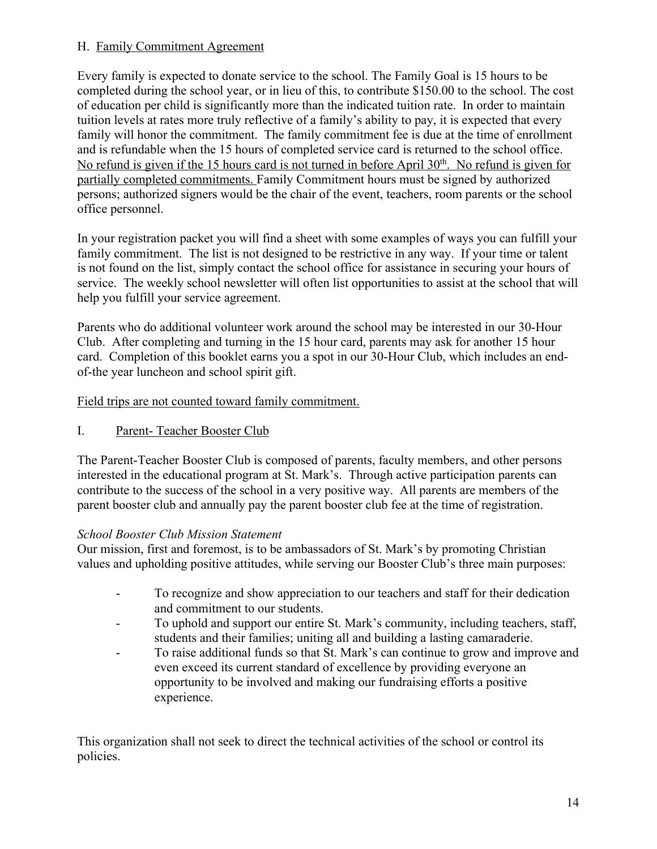# H. Family Commitment Agreement

Every family is expected to donate service to the school. The Family Goal is 15 hours to be completed during the school year, or in lieu of this, to contribute \$150.00 to the school. The cost of education per child is significantly more than the indicated tuition rate. In order to maintain tuition levels at rates more truly reflective of a family's ability to pay, it is expected that every family will honor the commitment. The family commitment fee is due at the time of enrollment and is refundable when the 15 hours of completed service card is returned to the school office. No refund is given if the 15 hours card is not turned in before April  $30<sup>th</sup>$ . No refund is given for partially completed commitments. Family Commitment hours must be signed by authorized persons; authorized signers would be the chair of the event, teachers, room parents or the school office personnel.

In your registration packet you will find a sheet with some examples of ways you can fulfill your family commitment. The list is not designed to be restrictive in any way. If your time or talent is not found on the list, simply contact the school office for assistance in securing your hours of service. The weekly school newsletter will often list opportunities to assist at the school that will help you fulfill your service agreement.

Parents who do additional volunteer work around the school may be interested in our 30-Hour Club. After completing and turning in the 15 hour card, parents may ask for another 15 hour card. Completion of this booklet earns you a spot in our 30-Hour Club, which includes an endof-the year luncheon and school spirit gift.

Field trips are not counted toward family commitment.

# I. Parent- Teacher Booster Club

The Parent-Teacher Booster Club is composed of parents, faculty members, and other persons interested in the educational program at St. Mark's. Through active participation parents can contribute to the success of the school in a very positive way. All parents are members of the parent booster club and annually pay the parent booster club fee at the time of registration.

# *School Booster Club Mission Statement*

Our mission, first and foremost, is to be ambassadors of St. Mark's by promoting Christian values and upholding positive attitudes, while serving our Booster Club's three main purposes:

- To recognize and show appreciation to our teachers and staff for their dedication and commitment to our students.
- To uphold and support our entire St. Mark's community, including teachers, staff, students and their families; uniting all and building a lasting camaraderie.
- To raise additional funds so that St. Mark's can continue to grow and improve and even exceed its current standard of excellence by providing everyone an opportunity to be involved and making our fundraising efforts a positive experience.

This organization shall not seek to direct the technical activities of the school or control its policies.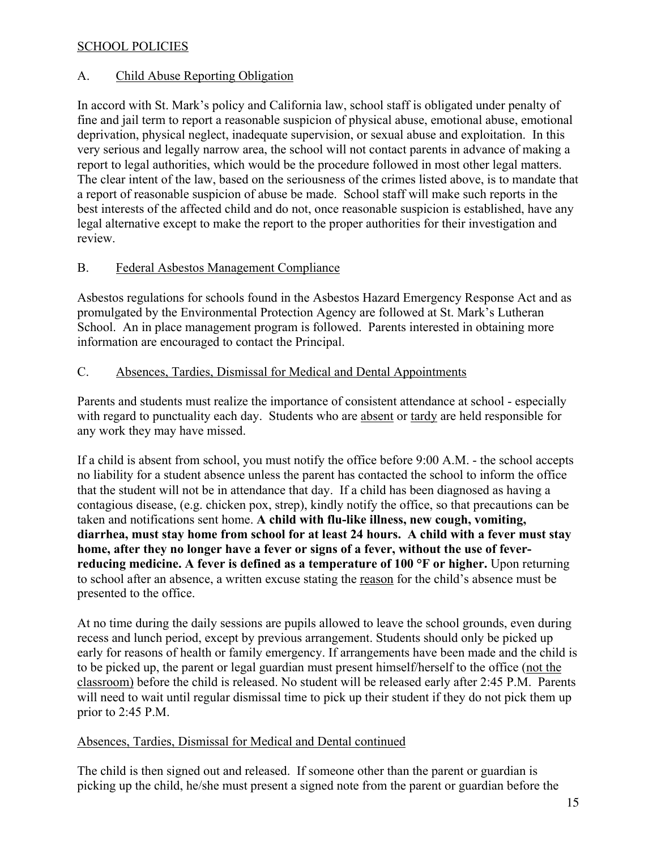## SCHOOL POLICIES

#### A. Child Abuse Reporting Obligation

In accord with St. Mark's policy and California law, school staff is obligated under penalty of fine and jail term to report a reasonable suspicion of physical abuse, emotional abuse, emotional deprivation, physical neglect, inadequate supervision, or sexual abuse and exploitation. In this very serious and legally narrow area, the school will not contact parents in advance of making a report to legal authorities, which would be the procedure followed in most other legal matters. The clear intent of the law, based on the seriousness of the crimes listed above, is to mandate that a report of reasonable suspicion of abuse be made. School staff will make such reports in the best interests of the affected child and do not, once reasonable suspicion is established, have any legal alternative except to make the report to the proper authorities for their investigation and review.

#### B. Federal Asbestos Management Compliance

Asbestos regulations for schools found in the Asbestos Hazard Emergency Response Act and as promulgated by the Environmental Protection Agency are followed at St. Mark's Lutheran School. An in place management program is followed. Parents interested in obtaining more information are encouraged to contact the Principal.

#### C. Absences, Tardies, Dismissal for Medical and Dental Appointments

Parents and students must realize the importance of consistent attendance at school - especially with regard to punctuality each day. Students who are absent or tardy are held responsible for any work they may have missed.

If a child is absent from school, you must notify the office before 9:00 A.M. - the school accepts no liability for a student absence unless the parent has contacted the school to inform the office that the student will not be in attendance that day. If a child has been diagnosed as having a contagious disease, (e.g. chicken pox, strep), kindly notify the office, so that precautions can be taken and notifications sent home. **A child with flu-like illness, new cough, vomiting, diarrhea, must stay home from school for at least 24 hours. A child with a fever must stay home, after they no longer have a fever or signs of a fever, without the use of feverreducing medicine. A fever is defined as a temperature of 100 °F or higher.** Upon returning to school after an absence, a written excuse stating the reason for the child's absence must be presented to the office.

At no time during the daily sessions are pupils allowed to leave the school grounds, even during recess and lunch period, except by previous arrangement. Students should only be picked up early for reasons of health or family emergency. If arrangements have been made and the child is to be picked up, the parent or legal guardian must present himself/herself to the office (not the classroom) before the child is released. No student will be released early after 2:45 P.M. Parents will need to wait until regular dismissal time to pick up their student if they do not pick them up prior to 2:45 P.M.

## Absences, Tardies, Dismissal for Medical and Dental continued

The child is then signed out and released. If someone other than the parent or guardian is picking up the child, he/she must present a signed note from the parent or guardian before the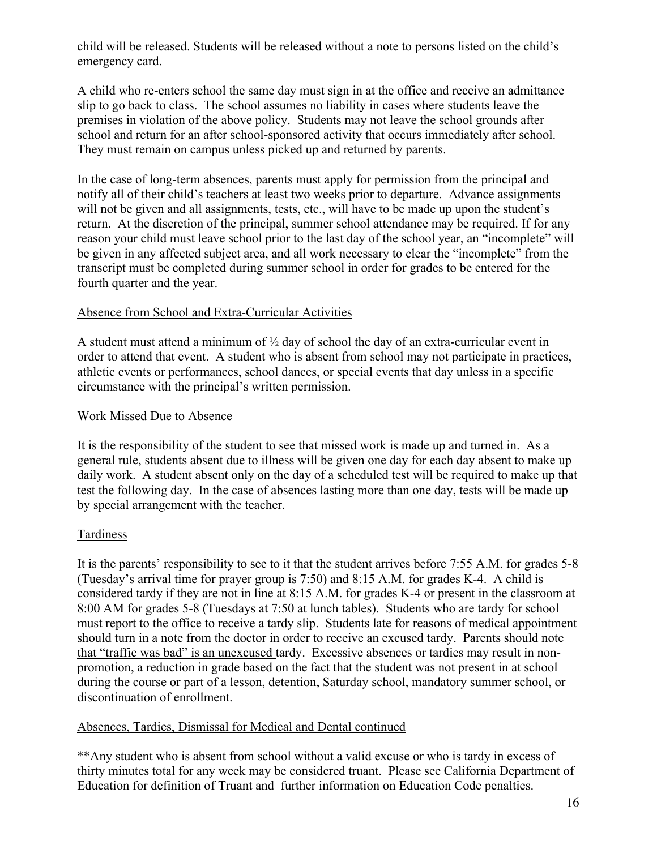child will be released. Students will be released without a note to persons listed on the child's emergency card.

A child who re-enters school the same day must sign in at the office and receive an admittance slip to go back to class. The school assumes no liability in cases where students leave the premises in violation of the above policy. Students may not leave the school grounds after school and return for an after school-sponsored activity that occurs immediately after school. They must remain on campus unless picked up and returned by parents.

In the case of <u>long-term absences</u>, parents must apply for permission from the principal and notify all of their child's teachers at least two weeks prior to departure. Advance assignments will not be given and all assignments, tests, etc., will have to be made up upon the student's return. At the discretion of the principal, summer school attendance may be required. If for any reason your child must leave school prior to the last day of the school year, an "incomplete" will be given in any affected subject area, and all work necessary to clear the "incomplete" from the transcript must be completed during summer school in order for grades to be entered for the fourth quarter and the year.

## Absence from School and Extra-Curricular Activities

A student must attend a minimum of  $\frac{1}{2}$  day of school the day of an extra-curricular event in order to attend that event. A student who is absent from school may not participate in practices, athletic events or performances, school dances, or special events that day unless in a specific circumstance with the principal's written permission.

#### Work Missed Due to Absence

It is the responsibility of the student to see that missed work is made up and turned in. As a general rule, students absent due to illness will be given one day for each day absent to make up daily work. A student absent only on the day of a scheduled test will be required to make up that test the following day. In the case of absences lasting more than one day, tests will be made up by special arrangement with the teacher.

## Tardiness

It is the parents' responsibility to see to it that the student arrives before 7:55 A.M. for grades 5-8 (Tuesday's arrival time for prayer group is 7:50) and 8:15 A.M. for grades K-4. A child is considered tardy if they are not in line at 8:15 A.M. for grades K-4 or present in the classroom at 8:00 AM for grades 5-8 (Tuesdays at 7:50 at lunch tables). Students who are tardy for school must report to the office to receive a tardy slip. Students late for reasons of medical appointment should turn in a note from the doctor in order to receive an excused tardy. Parents should note that "traffic was bad" is an unexcused tardy. Excessive absences or tardies may result in nonpromotion, a reduction in grade based on the fact that the student was not present in at school during the course or part of a lesson, detention, Saturday school, mandatory summer school, or discontinuation of enrollment.

#### Absences, Tardies, Dismissal for Medical and Dental continued

\*\*Any student who is absent from school without a valid excuse or who is tardy in excess of thirty minutes total for any week may be considered truant. Please see California Department of Education for definition of Truant and further information on Education Code penalties.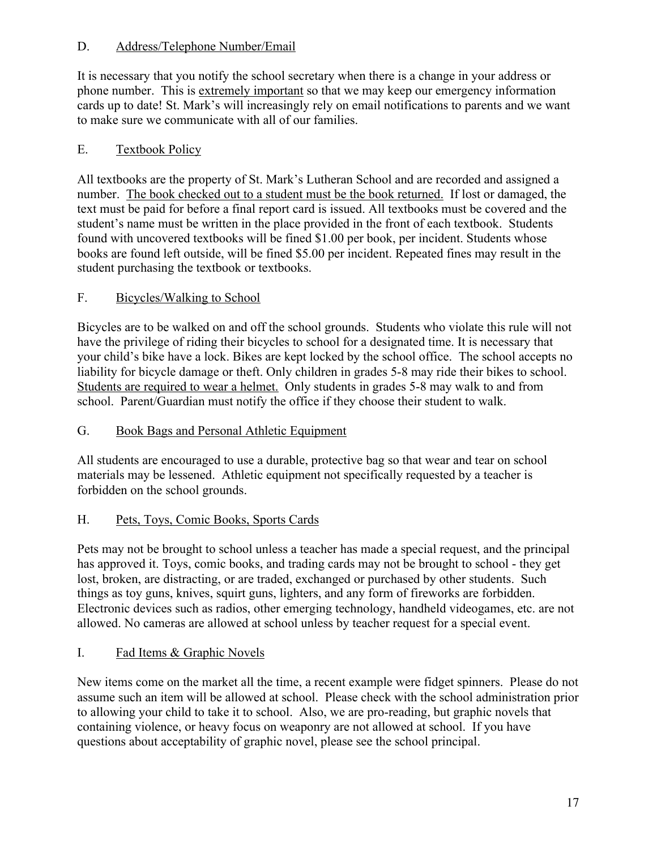# D. Address/Telephone Number/Email

It is necessary that you notify the school secretary when there is a change in your address or phone number. This is extremely important so that we may keep our emergency information cards up to date! St. Mark's will increasingly rely on email notifications to parents and we want to make sure we communicate with all of our families.

# E. Textbook Policy

All textbooks are the property of St. Mark's Lutheran School and are recorded and assigned a number. The book checked out to a student must be the book returned. If lost or damaged, the text must be paid for before a final report card is issued. All textbooks must be covered and the student's name must be written in the place provided in the front of each textbook. Students found with uncovered textbooks will be fined \$1.00 per book, per incident. Students whose books are found left outside, will be fined \$5.00 per incident. Repeated fines may result in the student purchasing the textbook or textbooks.

# F. Bicycles/Walking to School

Bicycles are to be walked on and off the school grounds. Students who violate this rule will not have the privilege of riding their bicycles to school for a designated time. It is necessary that your child's bike have a lock. Bikes are kept locked by the school office. The school accepts no liability for bicycle damage or theft. Only children in grades 5-8 may ride their bikes to school. Students are required to wear a helmet. Only students in grades 5-8 may walk to and from school. Parent/Guardian must notify the office if they choose their student to walk.

# G. Book Bags and Personal Athletic Equipment

All students are encouraged to use a durable, protective bag so that wear and tear on school materials may be lessened. Athletic equipment not specifically requested by a teacher is forbidden on the school grounds.

# H. Pets, Toys, Comic Books, Sports Cards

Pets may not be brought to school unless a teacher has made a special request, and the principal has approved it. Toys, comic books, and trading cards may not be brought to school - they get lost, broken, are distracting, or are traded, exchanged or purchased by other students. Such things as toy guns, knives, squirt guns, lighters, and any form of fireworks are forbidden. Electronic devices such as radios, other emerging technology, handheld videogames, etc. are not allowed. No cameras are allowed at school unless by teacher request for a special event.

## I. Fad Items & Graphic Novels

New items come on the market all the time, a recent example were fidget spinners. Please do not assume such an item will be allowed at school. Please check with the school administration prior to allowing your child to take it to school. Also, we are pro-reading, but graphic novels that containing violence, or heavy focus on weaponry are not allowed at school. If you have questions about acceptability of graphic novel, please see the school principal.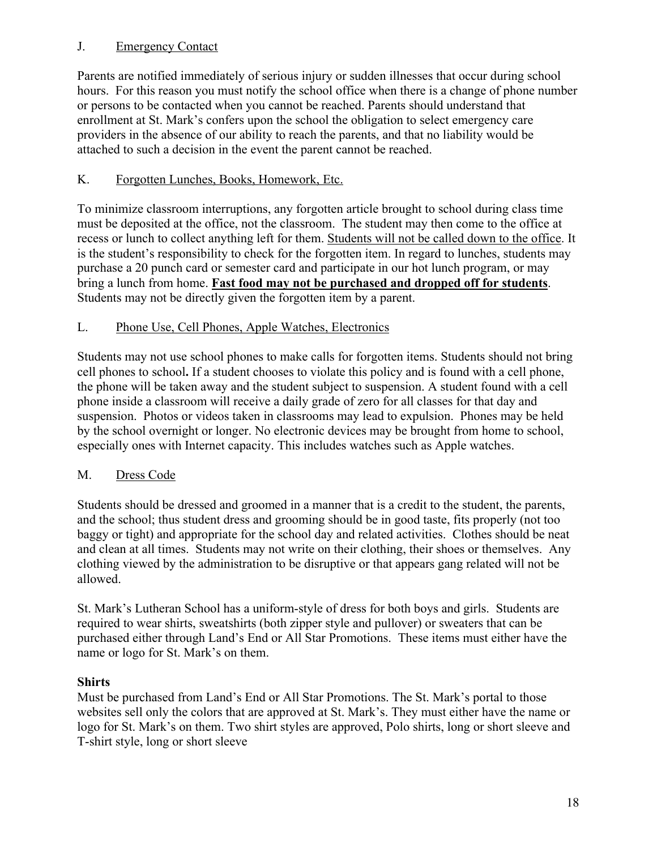# J. Emergency Contact

Parents are notified immediately of serious injury or sudden illnesses that occur during school hours. For this reason you must notify the school office when there is a change of phone number or persons to be contacted when you cannot be reached. Parents should understand that enrollment at St. Mark's confers upon the school the obligation to select emergency care providers in the absence of our ability to reach the parents, and that no liability would be attached to such a decision in the event the parent cannot be reached.

# K. Forgotten Lunches, Books, Homework, Etc.

To minimize classroom interruptions, any forgotten article brought to school during class time must be deposited at the office, not the classroom. The student may then come to the office at recess or lunch to collect anything left for them. Students will not be called down to the office. It is the student's responsibility to check for the forgotten item. In regard to lunches, students may purchase a 20 punch card or semester card and participate in our hot lunch program, or may bring a lunch from home. **Fast food may not be purchased and dropped off for students**. Students may not be directly given the forgotten item by a parent.

# L. Phone Use, Cell Phones, Apple Watches, Electronics

Students may not use school phones to make calls for forgotten items. Students should not bring cell phones to school**.** If a student chooses to violate this policy and is found with a cell phone, the phone will be taken away and the student subject to suspension. A student found with a cell phone inside a classroom will receive a daily grade of zero for all classes for that day and suspension. Photos or videos taken in classrooms may lead to expulsion. Phones may be held by the school overnight or longer. No electronic devices may be brought from home to school, especially ones with Internet capacity. This includes watches such as Apple watches.

## M. Dress Code

Students should be dressed and groomed in a manner that is a credit to the student, the parents, and the school; thus student dress and grooming should be in good taste, fits properly (not too baggy or tight) and appropriate for the school day and related activities. Clothes should be neat and clean at all times. Students may not write on their clothing, their shoes or themselves. Any clothing viewed by the administration to be disruptive or that appears gang related will not be allowed.

St. Mark's Lutheran School has a uniform-style of dress for both boys and girls. Students are required to wear shirts, sweatshirts (both zipper style and pullover) or sweaters that can be purchased either through Land's End or All Star Promotions. These items must either have the name or logo for St. Mark's on them.

## **Shirts**

Must be purchased from Land's End or All Star Promotions. The St. Mark's portal to those websites sell only the colors that are approved at St. Mark's. They must either have the name or logo for St. Mark's on them. Two shirt styles are approved, Polo shirts, long or short sleeve and T-shirt style, long or short sleeve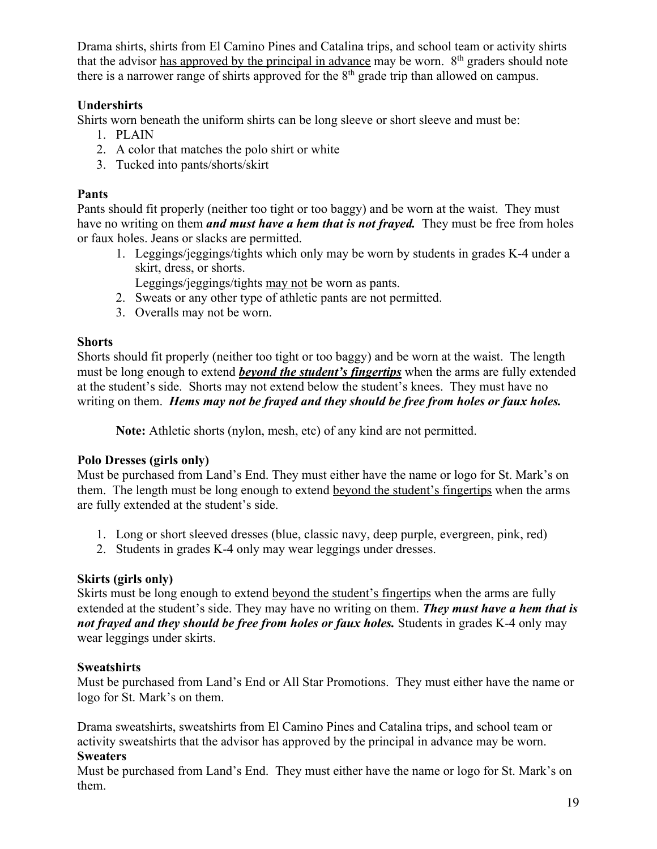Drama shirts, shirts from El Camino Pines and Catalina trips, and school team or activity shirts that the advisor has approved by the principal in advance may be worn.  $8<sup>th</sup>$  graders should note there is a narrower range of shirts approved for the  $8<sup>th</sup>$  grade trip than allowed on campus.

# **Undershirts**

Shirts worn beneath the uniform shirts can be long sleeve or short sleeve and must be:

- 1. PLAIN
- 2. A color that matches the polo shirt or white
- 3. Tucked into pants/shorts/skirt

# **Pants**

Pants should fit properly (neither too tight or too baggy) and be worn at the waist. They must have no writing on them *and must have a hem that is not frayed.* They must be free from holes or faux holes. Jeans or slacks are permitted.

- 1. Leggings/jeggings/tights which only may be worn by students in grades K-4 under a skirt, dress, or shorts.
	- Leggings/jeggings/tights may not be worn as pants.
- 2. Sweats or any other type of athletic pants are not permitted.
- 3. Overalls may not be worn.

# **Shorts**

Shorts should fit properly (neither too tight or too baggy) and be worn at the waist. The length must be long enough to extend *beyond the student's fingertips* when the arms are fully extended at the student's side. Shorts may not extend below the student's knees. They must have no writing on them. *Hems may not be frayed and they should be free from holes or faux holes.*

**Note:** Athletic shorts (nylon, mesh, etc) of any kind are not permitted.

# **Polo Dresses (girls only)**

Must be purchased from Land's End. They must either have the name or logo for St. Mark's on them. The length must be long enough to extend beyond the student's fingertips when the arms are fully extended at the student's side.

- 1. Long or short sleeved dresses (blue, classic navy, deep purple, evergreen, pink, red)
- 2. Students in grades K-4 only may wear leggings under dresses.

# **Skirts (girls only)**

Skirts must be long enough to extend beyond the student's fingertips when the arms are fully extended at the student's side. They may have no writing on them. *They must have a hem that is not frayed and they should be free from holes or faux holes.* Students in grades K-4 only may wear leggings under skirts.

# **Sweatshirts**

Must be purchased from Land's End or All Star Promotions. They must either have the name or logo for St. Mark's on them.

Drama sweatshirts, sweatshirts from El Camino Pines and Catalina trips, and school team or activity sweatshirts that the advisor has approved by the principal in advance may be worn.

# **Sweaters**

Must be purchased from Land's End. They must either have the name or logo for St. Mark's on them.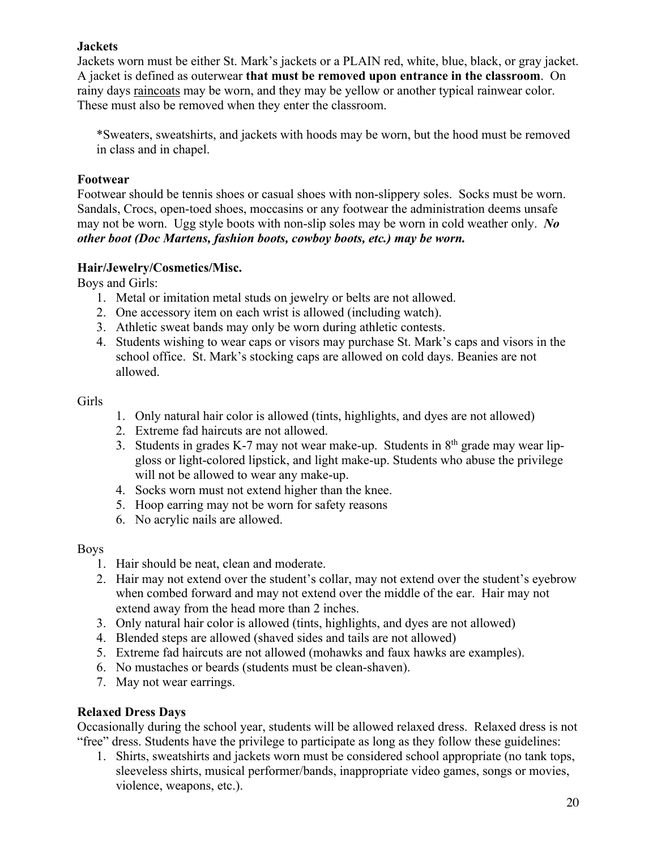# **Jackets**

Jackets worn must be either St. Mark's jackets or a PLAIN red, white, blue, black, or gray jacket. A jacket is defined as outerwear **that must be removed upon entrance in the classroom**. On rainy days raincoats may be worn, and they may be yellow or another typical rainwear color. These must also be removed when they enter the classroom.

\*Sweaters, sweatshirts, and jackets with hoods may be worn, but the hood must be removed in class and in chapel.

#### **Footwear**

Footwear should be tennis shoes or casual shoes with non-slippery soles. Socks must be worn. Sandals, Crocs, open-toed shoes, moccasins or any footwear the administration deems unsafe may not be worn. Ugg style boots with non-slip soles may be worn in cold weather only. *No other boot (Doc Martens, fashion boots, cowboy boots, etc.) may be worn.*

## **Hair/Jewelry/Cosmetics/Misc.**

Boys and Girls:

- 1. Metal or imitation metal studs on jewelry or belts are not allowed.
- 2. One accessory item on each wrist is allowed (including watch).
- 3. Athletic sweat bands may only be worn during athletic contests.
- 4. Students wishing to wear caps or visors may purchase St. Mark's caps and visors in the school office. St. Mark's stocking caps are allowed on cold days. Beanies are not allowed.

#### Girls

- 1. Only natural hair color is allowed (tints, highlights, and dyes are not allowed)
- 2. Extreme fad haircuts are not allowed.
- 3. Students in grades K-7 may not wear make-up. Students in  $8<sup>th</sup>$  grade may wear lipgloss or light-colored lipstick, and light make-up. Students who abuse the privilege will not be allowed to wear any make-up.
- 4. Socks worn must not extend higher than the knee.
- 5. Hoop earring may not be worn for safety reasons
- 6. No acrylic nails are allowed.

## Boys

- 1. Hair should be neat, clean and moderate.
- 2. Hair may not extend over the student's collar, may not extend over the student's eyebrow when combed forward and may not extend over the middle of the ear. Hair may not extend away from the head more than 2 inches.
- 3. Only natural hair color is allowed (tints, highlights, and dyes are not allowed)
- 4. Blended steps are allowed (shaved sides and tails are not allowed)
- 5. Extreme fad haircuts are not allowed (mohawks and faux hawks are examples).
- 6. No mustaches or beards (students must be clean-shaven).
- 7. May not wear earrings.

## **Relaxed Dress Days**

Occasionally during the school year, students will be allowed relaxed dress. Relaxed dress is not "free" dress. Students have the privilege to participate as long as they follow these guidelines:

1. Shirts, sweatshirts and jackets worn must be considered school appropriate (no tank tops, sleeveless shirts, musical performer/bands, inappropriate video games, songs or movies, violence, weapons, etc.).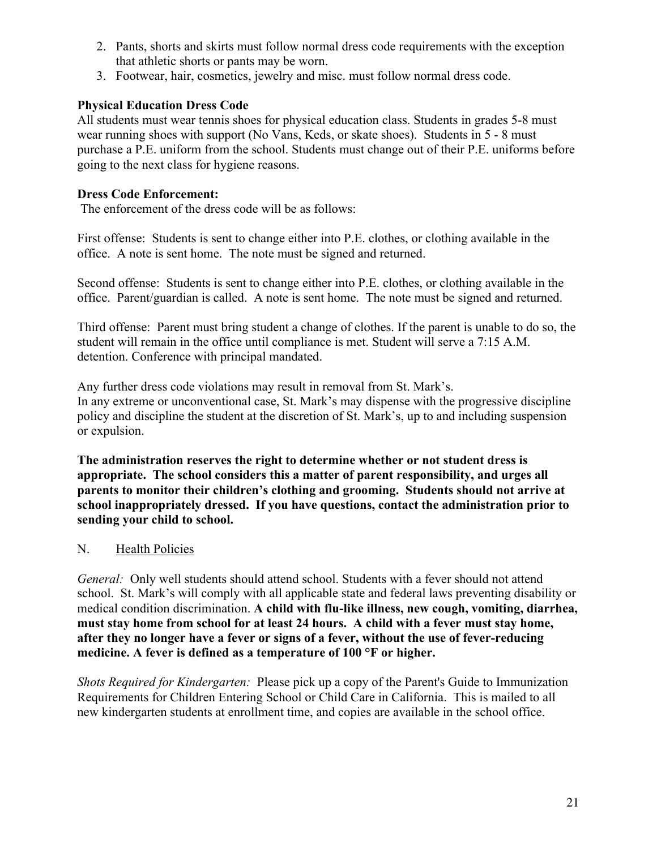- 2. Pants, shorts and skirts must follow normal dress code requirements with the exception that athletic shorts or pants may be worn.
- 3. Footwear, hair, cosmetics, jewelry and misc. must follow normal dress code.

# **Physical Education Dress Code**

All students must wear tennis shoes for physical education class. Students in grades 5-8 must wear running shoes with support (No Vans, Keds, or skate shoes). Students in 5 - 8 must purchase a P.E. uniform from the school. Students must change out of their P.E. uniforms before going to the next class for hygiene reasons.

## **Dress Code Enforcement:**

The enforcement of the dress code will be as follows:

First offense: Students is sent to change either into P.E. clothes, or clothing available in the office. A note is sent home. The note must be signed and returned.

Second offense: Students is sent to change either into P.E. clothes, or clothing available in the office. Parent/guardian is called. A note is sent home. The note must be signed and returned.

Third offense: Parent must bring student a change of clothes. If the parent is unable to do so, the student will remain in the office until compliance is met. Student will serve a 7:15 A.M. detention. Conference with principal mandated.

Any further dress code violations may result in removal from St. Mark's. In any extreme or unconventional case, St. Mark's may dispense with the progressive discipline policy and discipline the student at the discretion of St. Mark's, up to and including suspension or expulsion.

**The administration reserves the right to determine whether or not student dress is appropriate. The school considers this a matter of parent responsibility, and urges all parents to monitor their children's clothing and grooming. Students should not arrive at school inappropriately dressed. If you have questions, contact the administration prior to sending your child to school.**

## N. Health Policies

*General:* Only well students should attend school. Students with a fever should not attend school. St. Mark's will comply with all applicable state and federal laws preventing disability or medical condition discrimination. **A child with flu-like illness, new cough, vomiting, diarrhea, must stay home from school for at least 24 hours. A child with a fever must stay home, after they no longer have a fever or signs of a fever, without the use of fever-reducing medicine. A fever is defined as a temperature of 100 °F or higher.**

*Shots Required for Kindergarten:* Please pick up a copy of the Parent's Guide to Immunization Requirements for Children Entering School or Child Care in California. This is mailed to all new kindergarten students at enrollment time, and copies are available in the school office.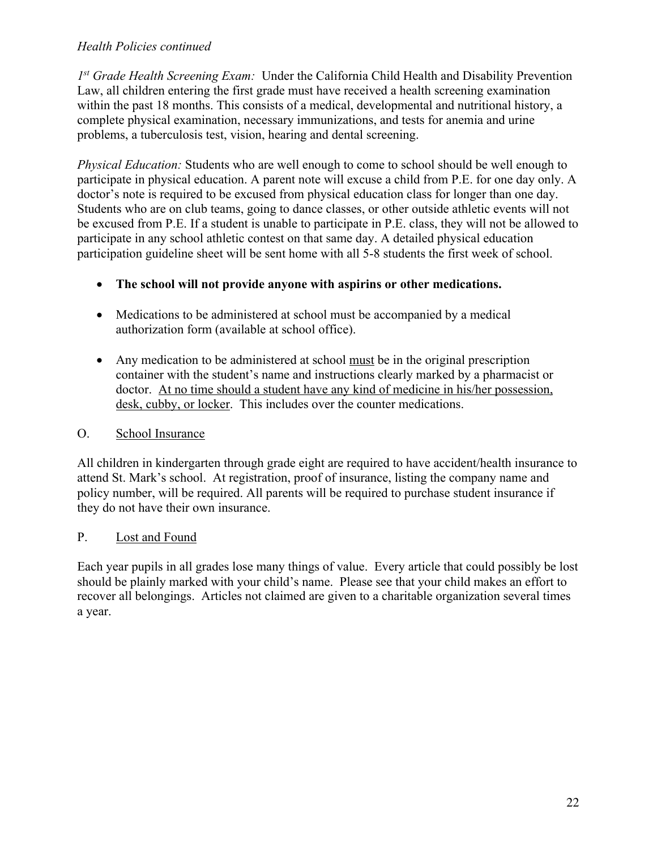## *Health Policies continued*

*1st Grade Health Screening Exam:* Under the California Child Health and Disability Prevention Law, all children entering the first grade must have received a health screening examination within the past 18 months. This consists of a medical, developmental and nutritional history, a complete physical examination, necessary immunizations, and tests for anemia and urine problems, a tuberculosis test, vision, hearing and dental screening.

*Physical Education:* Students who are well enough to come to school should be well enough to participate in physical education. A parent note will excuse a child from P.E. for one day only. A doctor's note is required to be excused from physical education class for longer than one day. Students who are on club teams, going to dance classes, or other outside athletic events will not be excused from P.E. If a student is unable to participate in P.E. class, they will not be allowed to participate in any school athletic contest on that same day. A detailed physical education participation guideline sheet will be sent home with all 5-8 students the first week of school.

- **The school will not provide anyone with aspirins or other medications.**
- Medications to be administered at school must be accompanied by a medical authorization form (available at school office).
- Any medication to be administered at school must be in the original prescription container with the student's name and instructions clearly marked by a pharmacist or doctor. At no time should a student have any kind of medicine in his/her possession, desk, cubby, or locker. This includes over the counter medications.

# O. School Insurance

All children in kindergarten through grade eight are required to have accident/health insurance to attend St. Mark's school. At registration, proof of insurance, listing the company name and policy number, will be required. All parents will be required to purchase student insurance if they do not have their own insurance.

# P. Lost and Found

Each year pupils in all grades lose many things of value. Every article that could possibly be lost should be plainly marked with your child's name. Please see that your child makes an effort to recover all belongings. Articles not claimed are given to a charitable organization several times a year.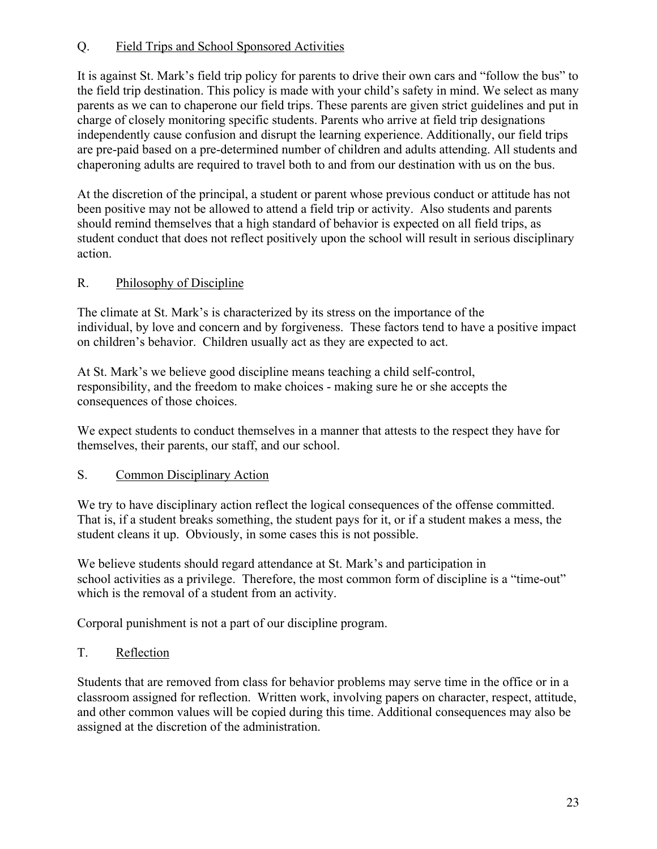# Q. Field Trips and School Sponsored Activities

It is against St. Mark's field trip policy for parents to drive their own cars and "follow the bus" to the field trip destination. This policy is made with your child's safety in mind. We select as many parents as we can to chaperone our field trips. These parents are given strict guidelines and put in charge of closely monitoring specific students. Parents who arrive at field trip designations independently cause confusion and disrupt the learning experience. Additionally, our field trips are pre-paid based on a pre-determined number of children and adults attending. All students and chaperoning adults are required to travel both to and from our destination with us on the bus.

At the discretion of the principal, a student or parent whose previous conduct or attitude has not been positive may not be allowed to attend a field trip or activity. Also students and parents should remind themselves that a high standard of behavior is expected on all field trips, as student conduct that does not reflect positively upon the school will result in serious disciplinary action.

# R. Philosophy of Discipline

The climate at St. Mark's is characterized by its stress on the importance of the individual, by love and concern and by forgiveness. These factors tend to have a positive impact on children's behavior. Children usually act as they are expected to act.

At St. Mark's we believe good discipline means teaching a child self-control, responsibility, and the freedom to make choices - making sure he or she accepts the consequences of those choices.

We expect students to conduct themselves in a manner that attests to the respect they have for themselves, their parents, our staff, and our school.

## S. Common Disciplinary Action

We try to have disciplinary action reflect the logical consequences of the offense committed. That is, if a student breaks something, the student pays for it, or if a student makes a mess, the student cleans it up. Obviously, in some cases this is not possible.

We believe students should regard attendance at St. Mark's and participation in school activities as a privilege. Therefore, the most common form of discipline is a "time-out" which is the removal of a student from an activity.

Corporal punishment is not a part of our discipline program.

## T. Reflection

Students that are removed from class for behavior problems may serve time in the office or in a classroom assigned for reflection. Written work, involving papers on character, respect, attitude, and other common values will be copied during this time. Additional consequences may also be assigned at the discretion of the administration.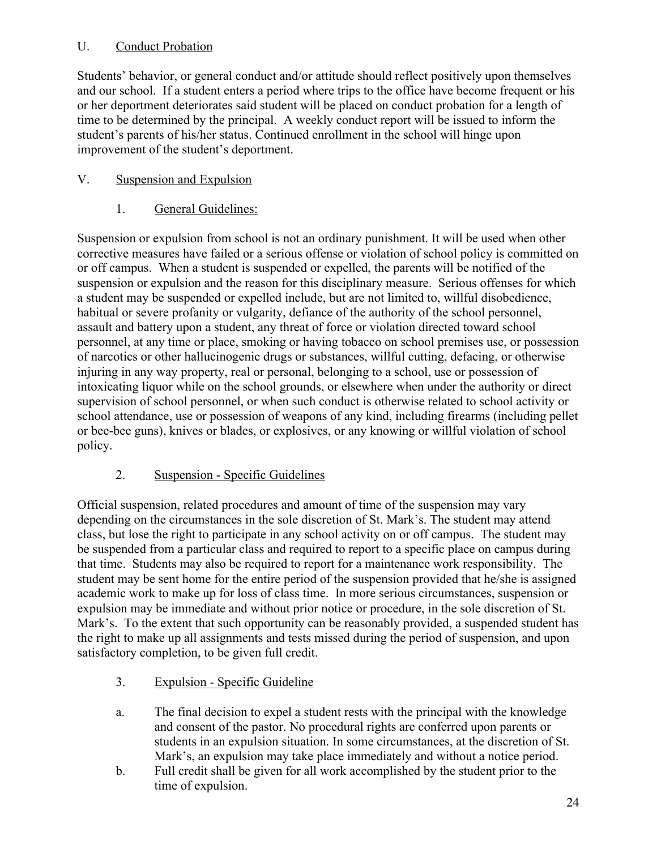# U. Conduct Probation

Students' behavior, or general conduct and/or attitude should reflect positively upon themselves and our school. If a student enters a period where trips to the office have become frequent or his or her deportment deteriorates said student will be placed on conduct probation for a length of time to be determined by the principal. A weekly conduct report will be issued to inform the student's parents of his/her status. Continued enrollment in the school will hinge upon improvement of the student's deportment.

# V. Suspension and Expulsion

# 1. General Guidelines:

Suspension or expulsion from school is not an ordinary punishment. It will be used when other corrective measures have failed or a serious offense or violation of school policy is committed on or off campus. When a student is suspended or expelled, the parents will be notified of the suspension or expulsion and the reason for this disciplinary measure. Serious offenses for which a student may be suspended or expelled include, but are not limited to, willful disobedience, habitual or severe profanity or vulgarity, defiance of the authority of the school personnel, assault and battery upon a student, any threat of force or violation directed toward school personnel, at any time or place, smoking or having tobacco on school premises use, or possession of narcotics or other hallucinogenic drugs or substances, willful cutting, defacing, or otherwise injuring in any way property, real or personal, belonging to a school, use or possession of intoxicating liquor while on the school grounds, or elsewhere when under the authority or direct supervision of school personnel, or when such conduct is otherwise related to school activity or school attendance, use or possession of weapons of any kind, including firearms (including pellet or bee-bee guns), knives or blades, or explosives, or any knowing or willful violation of school policy.

# 2. Suspension - Specific Guidelines

Official suspension, related procedures and amount of time of the suspension may vary depending on the circumstances in the sole discretion of St. Mark's. The student may attend class, but lose the right to participate in any school activity on or off campus. The student may be suspended from a particular class and required to report to a specific place on campus during that time. Students may also be required to report for a maintenance work responsibility. The student may be sent home for the entire period of the suspension provided that he/she is assigned academic work to make up for loss of class time. In more serious circumstances, suspension or expulsion may be immediate and without prior notice or procedure, in the sole discretion of St. Mark's. To the extent that such opportunity can be reasonably provided, a suspended student has the right to make up all assignments and tests missed during the period of suspension, and upon satisfactory completion, to be given full credit.

- 3. Expulsion Specific Guideline
- a. The final decision to expel a student rests with the principal with the knowledge and consent of the pastor. No procedural rights are conferred upon parents or students in an expulsion situation. In some circumstances, at the discretion of St. Mark's, an expulsion may take place immediately and without a notice period.
- b. Full credit shall be given for all work accomplished by the student prior to the time of expulsion.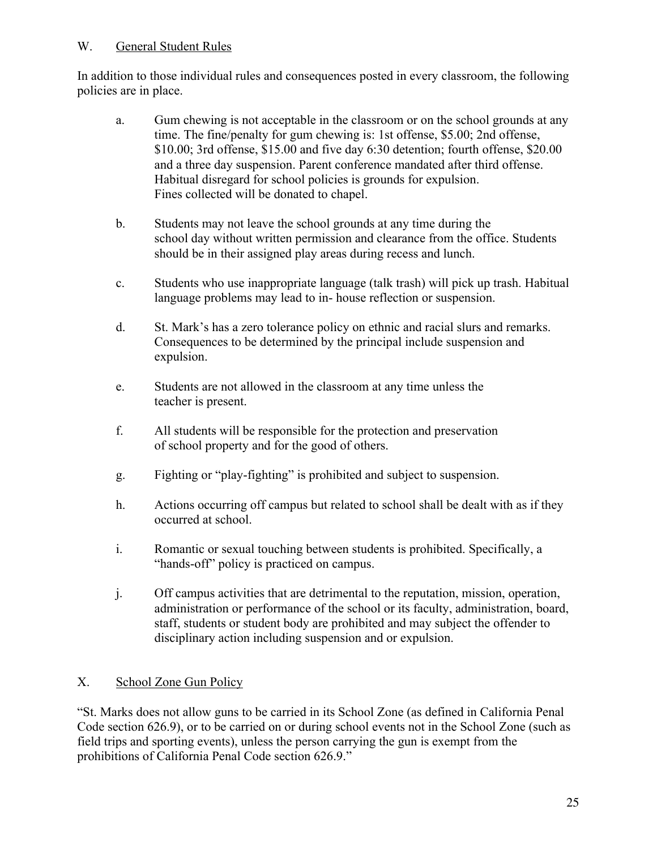# W. General Student Rules

In addition to those individual rules and consequences posted in every classroom, the following policies are in place.

- a. Gum chewing is not acceptable in the classroom or on the school grounds at any time. The fine/penalty for gum chewing is: 1st offense, \$5.00; 2nd offense, \$10.00; 3rd offense, \$15.00 and five day 6:30 detention; fourth offense, \$20.00 and a three day suspension. Parent conference mandated after third offense. Habitual disregard for school policies is grounds for expulsion. Fines collected will be donated to chapel.
- b. Students may not leave the school grounds at any time during the school day without written permission and clearance from the office. Students should be in their assigned play areas during recess and lunch.
- c. Students who use inappropriate language (talk trash) will pick up trash. Habitual language problems may lead to in- house reflection or suspension.
- d. St. Mark's has a zero tolerance policy on ethnic and racial slurs and remarks. Consequences to be determined by the principal include suspension and expulsion.
- e. Students are not allowed in the classroom at any time unless the teacher is present.
- f. All students will be responsible for the protection and preservation of school property and for the good of others.
- g. Fighting or "play-fighting" is prohibited and subject to suspension.
- h. Actions occurring off campus but related to school shall be dealt with as if they occurred at school.
- i. Romantic or sexual touching between students is prohibited. Specifically, a "hands-off" policy is practiced on campus.
- j. Off campus activities that are detrimental to the reputation, mission, operation, administration or performance of the school or its faculty, administration, board, staff, students or student body are prohibited and may subject the offender to disciplinary action including suspension and or expulsion.

# X. School Zone Gun Policy

"St. Marks does not allow guns to be carried in its School Zone (as defined in California Penal Code section 626.9), or to be carried on or during school events not in the School Zone (such as field trips and sporting events), unless the person carrying the gun is exempt from the prohibitions of California Penal Code section 626.9."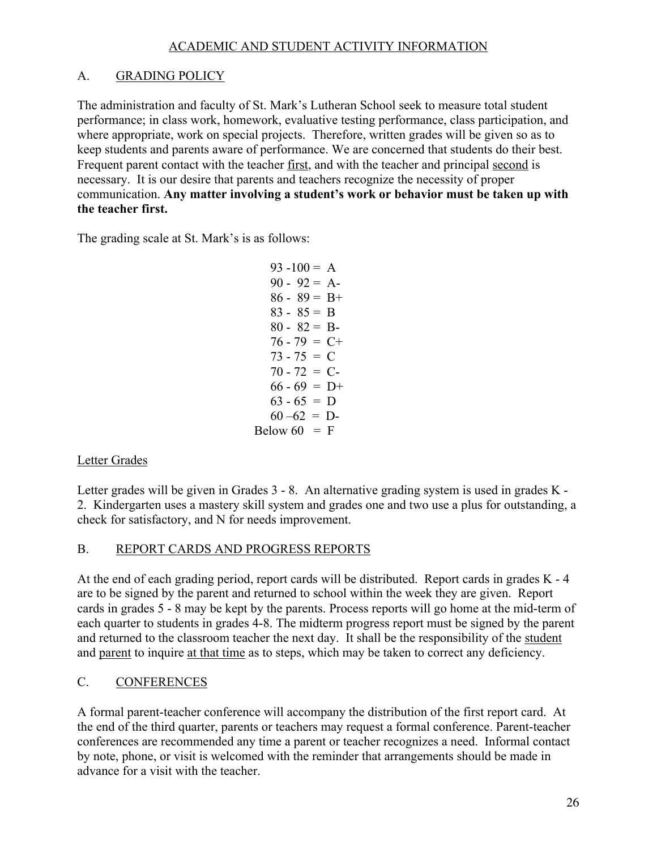## ACADEMIC AND STUDENT ACTIVITY INFORMATION

# A. GRADING POLICY

The administration and faculty of St. Mark's Lutheran School seek to measure total student performance; in class work, homework, evaluative testing performance, class participation, and where appropriate, work on special projects. Therefore, written grades will be given so as to keep students and parents aware of performance. We are concerned that students do their best. Frequent parent contact with the teacher first, and with the teacher and principal second is necessary. It is our desire that parents and teachers recognize the necessity of proper communication. **Any matter involving a student's work or behavior must be taken up with the teacher first.**

The grading scale at St. Mark's is as follows:

| $93 - 100 = A$  |   |
|-----------------|---|
| $90 - 92 = A$   |   |
| 86 - 89 = B+    |   |
| $83 - 85 = B$   |   |
| $80 - 82 = B$   |   |
| $76 - 79 = C +$ |   |
| $73 - 75 = C$   |   |
| $70 - 72 = C$   |   |
| $66 - 69 = D+$  |   |
| $63 - 65 =$     | Ð |
| $60 - 62 = D$   |   |
| Below $60 = F$  |   |

## Letter Grades

Letter grades will be given in Grades 3 - 8. An alternative grading system is used in grades K - 2. Kindergarten uses a mastery skill system and grades one and two use a plus for outstanding, a check for satisfactory, and N for needs improvement.

## B. REPORT CARDS AND PROGRESS REPORTS

At the end of each grading period, report cards will be distributed. Report cards in grades K - 4 are to be signed by the parent and returned to school within the week they are given. Report cards in grades 5 - 8 may be kept by the parents. Process reports will go home at the mid-term of each quarter to students in grades 4-8. The midterm progress report must be signed by the parent and returned to the classroom teacher the next day. It shall be the responsibility of the student and parent to inquire at that time as to steps, which may be taken to correct any deficiency.

# C. CONFERENCES

A formal parent-teacher conference will accompany the distribution of the first report card. At the end of the third quarter, parents or teachers may request a formal conference. Parent-teacher conferences are recommended any time a parent or teacher recognizes a need. Informal contact by note, phone, or visit is welcomed with the reminder that arrangements should be made in advance for a visit with the teacher.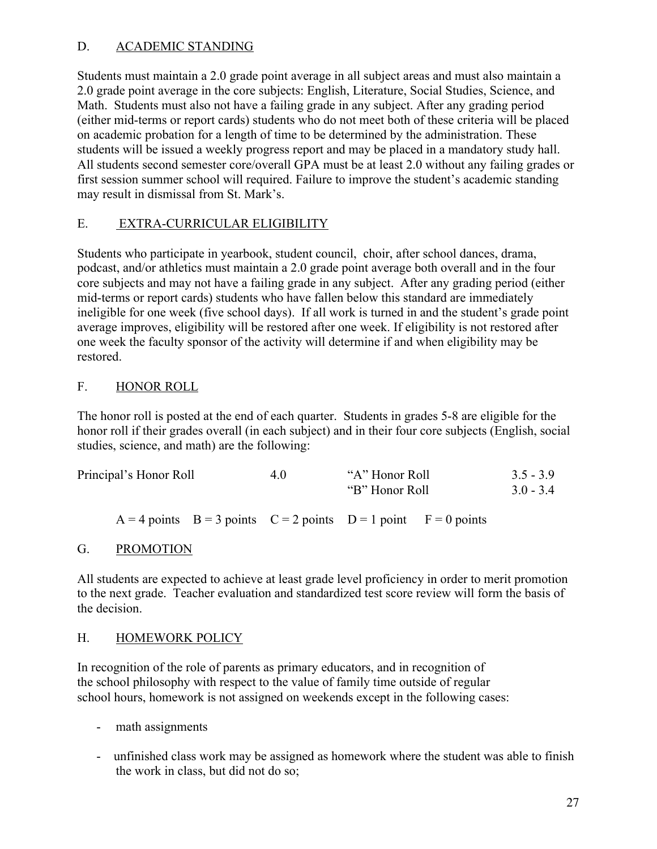# D. ACADEMIC STANDING

Students must maintain a 2.0 grade point average in all subject areas and must also maintain a 2.0 grade point average in the core subjects: English, Literature, Social Studies, Science, and Math. Students must also not have a failing grade in any subject. After any grading period (either mid-terms or report cards) students who do not meet both of these criteria will be placed on academic probation for a length of time to be determined by the administration. These students will be issued a weekly progress report and may be placed in a mandatory study hall. All students second semester core/overall GPA must be at least 2.0 without any failing grades or first session summer school will required. Failure to improve the student's academic standing may result in dismissal from St. Mark's.

# E. EXTRA-CURRICULAR ELIGIBILITY

Students who participate in yearbook, student council, choir, after school dances, drama, podcast, and/or athletics must maintain a 2.0 grade point average both overall and in the four core subjects and may not have a failing grade in any subject. After any grading period (either mid-terms or report cards) students who have fallen below this standard are immediately ineligible for one week (five school days). If all work is turned in and the student's grade point average improves, eligibility will be restored after one week. If eligibility is not restored after one week the faculty sponsor of the activity will determine if and when eligibility may be restored.

# F. HONOR ROLL

The honor roll is posted at the end of each quarter. Students in grades 5-8 are eligible for the honor roll if their grades overall (in each subject) and in their four core subjects (English, social studies, science, and math) are the following:

| Principal's Honor Roll                                                    | 4.0 | "A" Honor Roll<br>"B" Honor Roll" | $3.5 - 3.9$<br>$3.0 - 3.4$ |
|---------------------------------------------------------------------------|-----|-----------------------------------|----------------------------|
| $A = 4$ points $B = 3$ points $C = 2$ points $D = 1$ point $F = 0$ points |     |                                   |                            |

## G. PROMOTION

All students are expected to achieve at least grade level proficiency in order to merit promotion to the next grade. Teacher evaluation and standardized test score review will form the basis of the decision.

## H. HOMEWORK POLICY

In recognition of the role of parents as primary educators, and in recognition of the school philosophy with respect to the value of family time outside of regular school hours, homework is not assigned on weekends except in the following cases:

- math assignments
- unfinished class work may be assigned as homework where the student was able to finish the work in class, but did not do so;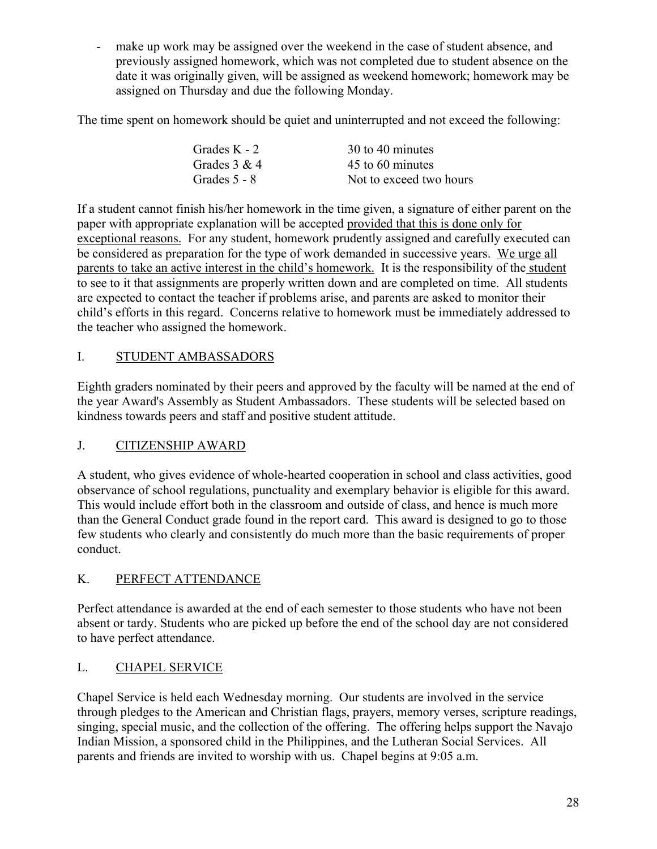make up work may be assigned over the weekend in the case of student absence, and previously assigned homework, which was not completed due to student absence on the date it was originally given, will be assigned as weekend homework; homework may be assigned on Thursday and due the following Monday.

The time spent on homework should be quiet and uninterrupted and not exceed the following:

| Grades K - 2   | 30 to 40 minutes        |
|----------------|-------------------------|
| Grades $3 & 4$ | 45 to 60 minutes        |
| Grades 5 - 8   | Not to exceed two hours |

If a student cannot finish his/her homework in the time given, a signature of either parent on the paper with appropriate explanation will be accepted provided that this is done only for exceptional reasons. For any student, homework prudently assigned and carefully executed can be considered as preparation for the type of work demanded in successive years. We urge all parents to take an active interest in the child's homework. It is the responsibility of the student to see to it that assignments are properly written down and are completed on time. All students are expected to contact the teacher if problems arise, and parents are asked to monitor their child's efforts in this regard. Concerns relative to homework must be immediately addressed to the teacher who assigned the homework.

# I. STUDENT AMBASSADORS

Eighth graders nominated by their peers and approved by the faculty will be named at the end of the year Award's Assembly as Student Ambassadors. These students will be selected based on kindness towards peers and staff and positive student attitude.

# J. CITIZENSHIP AWARD

A student, who gives evidence of whole-hearted cooperation in school and class activities, good observance of school regulations, punctuality and exemplary behavior is eligible for this award. This would include effort both in the classroom and outside of class, and hence is much more than the General Conduct grade found in the report card. This award is designed to go to those few students who clearly and consistently do much more than the basic requirements of proper conduct.

# K. PERFECT ATTENDANCE

Perfect attendance is awarded at the end of each semester to those students who have not been absent or tardy. Students who are picked up before the end of the school day are not considered to have perfect attendance.

# L. CHAPEL SERVICE

Chapel Service is held each Wednesday morning. Our students are involved in the service through pledges to the American and Christian flags, prayers, memory verses, scripture readings, singing, special music, and the collection of the offering. The offering helps support the Navajo Indian Mission, a sponsored child in the Philippines, and the Lutheran Social Services. All parents and friends are invited to worship with us. Chapel begins at 9:05 a.m.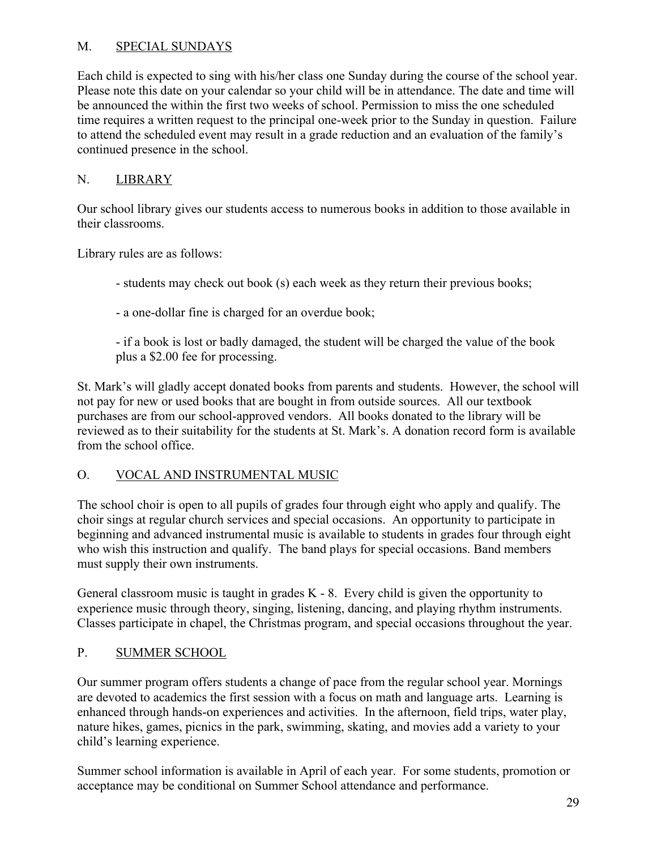# M. SPECIAL SUNDAYS

Each child is expected to sing with his/her class one Sunday during the course of the school year. Please note this date on your calendar so your child will be in attendance. The date and time will be announced the within the first two weeks of school. Permission to miss the one scheduled time requires a written request to the principal one-week prior to the Sunday in question. Failure to attend the scheduled event may result in a grade reduction and an evaluation of the family's continued presence in the school.

# N. LIBRARY

Our school library gives our students access to numerous books in addition to those available in their classrooms.

Library rules are as follows:

- students may check out book (s) each week as they return their previous books;

- a one-dollar fine is charged for an overdue book;

- if a book is lost or badly damaged, the student will be charged the value of the book plus a \$2.00 fee for processing.

St. Mark's will gladly accept donated books from parents and students. However, the school will not pay for new or used books that are bought in from outside sources. All our textbook purchases are from our school-approved vendors. All books donated to the library will be reviewed as to their suitability for the students at St. Mark's. A donation record form is available from the school office.

## O. VOCAL AND INSTRUMENTAL MUSIC

The school choir is open to all pupils of grades four through eight who apply and qualify. The choir sings at regular church services and special occasions. An opportunity to participate in beginning and advanced instrumental music is available to students in grades four through eight who wish this instruction and qualify. The band plays for special occasions. Band members must supply their own instruments.

General classroom music is taught in grades K - 8. Every child is given the opportunity to experience music through theory, singing, listening, dancing, and playing rhythm instruments. Classes participate in chapel, the Christmas program, and special occasions throughout the year.

## P. SUMMER SCHOOL

Our summer program offers students a change of pace from the regular school year. Mornings are devoted to academics the first session with a focus on math and language arts. Learning is enhanced through hands-on experiences and activities. In the afternoon, field trips, water play, nature hikes, games, picnics in the park, swimming, skating, and movies add a variety to your child's learning experience.

Summer school information is available in April of each year. For some students, promotion or acceptance may be conditional on Summer School attendance and performance.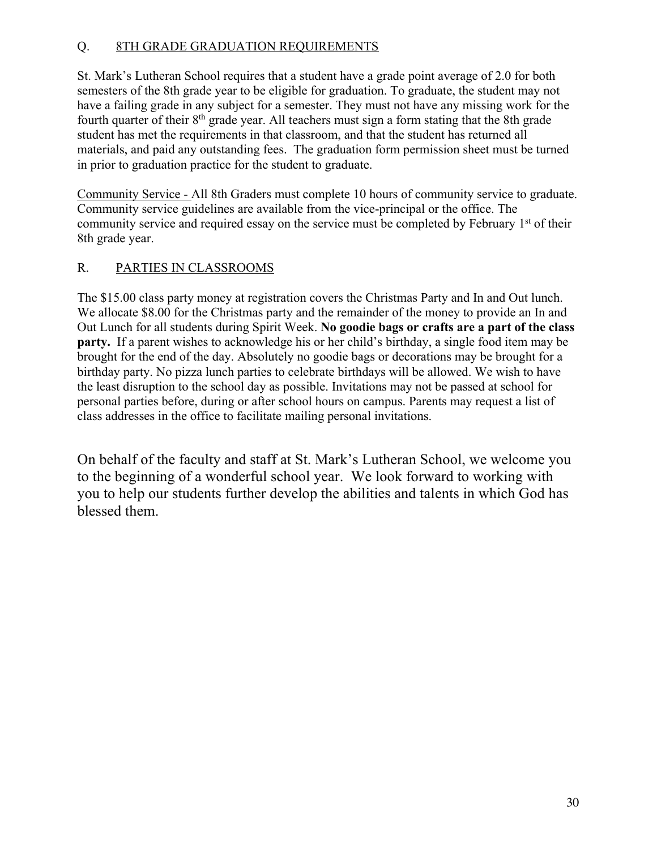# Q. 8TH GRADE GRADUATION REQUIREMENTS

St. Mark's Lutheran School requires that a student have a grade point average of 2.0 for both semesters of the 8th grade year to be eligible for graduation. To graduate, the student may not have a failing grade in any subject for a semester. They must not have any missing work for the fourth quarter of their 8<sup>th</sup> grade year. All teachers must sign a form stating that the 8th grade student has met the requirements in that classroom, and that the student has returned all materials, and paid any outstanding fees. The graduation form permission sheet must be turned in prior to graduation practice for the student to graduate.

Community Service - All 8th Graders must complete 10 hours of community service to graduate. Community service guidelines are available from the vice-principal or the office. The community service and required essay on the service must be completed by February 1<sup>st</sup> of their 8th grade year.

# R. PARTIES IN CLASSROOMS

The \$15.00 class party money at registration covers the Christmas Party and In and Out lunch. We allocate \$8.00 for the Christmas party and the remainder of the money to provide an In and Out Lunch for all students during Spirit Week. **No goodie bags or crafts are a part of the class party.** If a parent wishes to acknowledge his or her child's birthday, a single food item may be brought for the end of the day. Absolutely no goodie bags or decorations may be brought for a birthday party. No pizza lunch parties to celebrate birthdays will be allowed. We wish to have the least disruption to the school day as possible. Invitations may not be passed at school for personal parties before, during or after school hours on campus. Parents may request a list of class addresses in the office to facilitate mailing personal invitations.

On behalf of the faculty and staff at St. Mark's Lutheran School, we welcome you to the beginning of a wonderful school year. We look forward to working with you to help our students further develop the abilities and talents in which God has blessed them.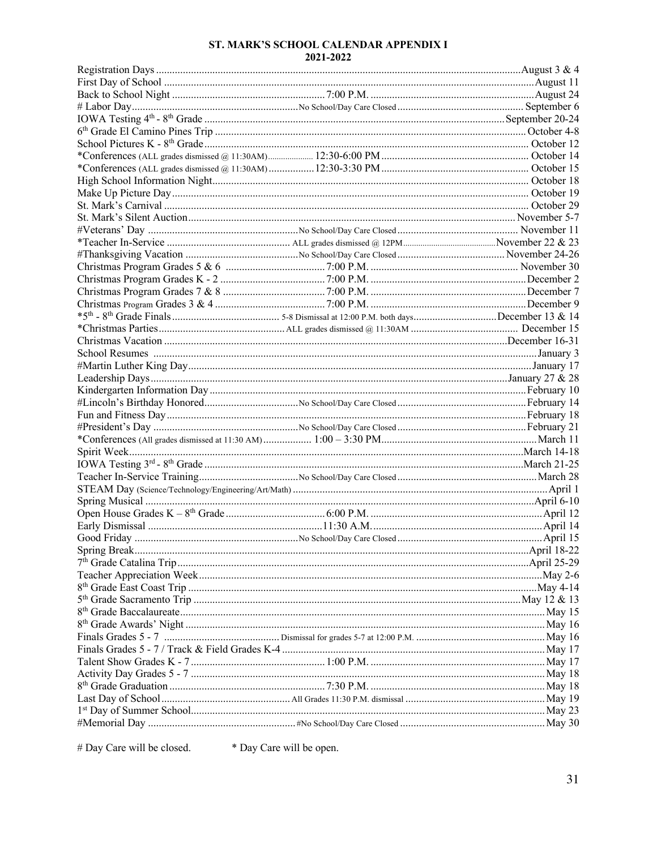#### ST. MARK'S SCHOOL CALENDAR APPENDIX I 2021-2022

# Day Care will be closed. \* Day Care will be open.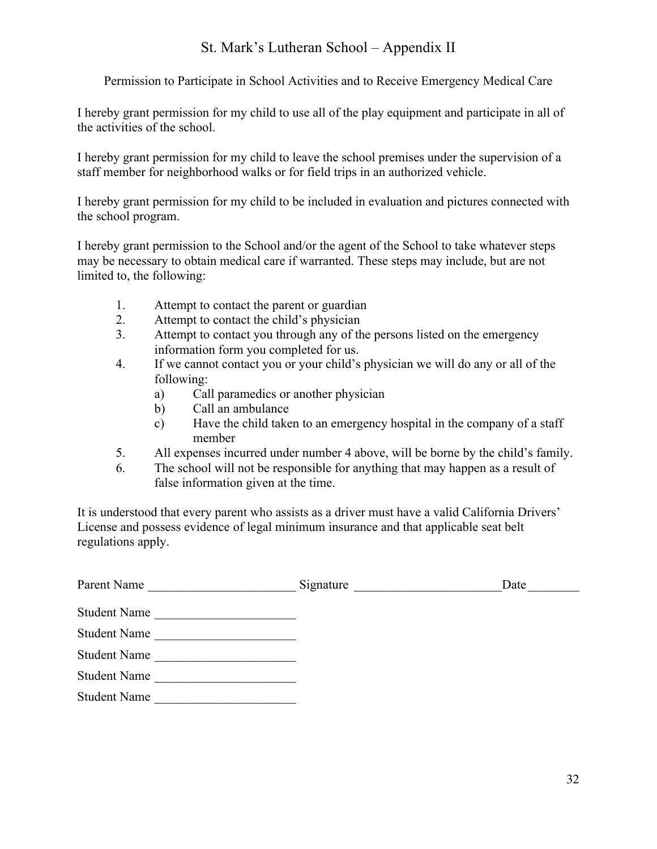# St. Mark's Lutheran School – Appendix II

Permission to Participate in School Activities and to Receive Emergency Medical Care

I hereby grant permission for my child to use all of the play equipment and participate in all of the activities of the school.

I hereby grant permission for my child to leave the school premises under the supervision of a staff member for neighborhood walks or for field trips in an authorized vehicle.

I hereby grant permission for my child to be included in evaluation and pictures connected with the school program.

I hereby grant permission to the School and/or the agent of the School to take whatever steps may be necessary to obtain medical care if warranted. These steps may include, but are not limited to, the following:

- 1. Attempt to contact the parent or guardian
- 2. Attempt to contact the child's physician
- 3. Attempt to contact you through any of the persons listed on the emergency information form you completed for us.
- 4. If we cannot contact you or your child's physician we will do any or all of the following:
	- a) Call paramedics or another physician
	- b) Call an ambulance
	- c) Have the child taken to an emergency hospital in the company of a staff member
- 5. All expenses incurred under number 4 above, will be borne by the child's family.
- 6. The school will not be responsible for anything that may happen as a result of false information given at the time.

It is understood that every parent who assists as a driver must have a valid California Drivers' License and possess evidence of legal minimum insurance and that applicable seat belt regulations apply.

| Parent Name         | Signature | Date |
|---------------------|-----------|------|
| <b>Student Name</b> |           |      |
| <b>Student Name</b> |           |      |
| <b>Student Name</b> |           |      |
| <b>Student Name</b> |           |      |
| <b>Student Name</b> |           |      |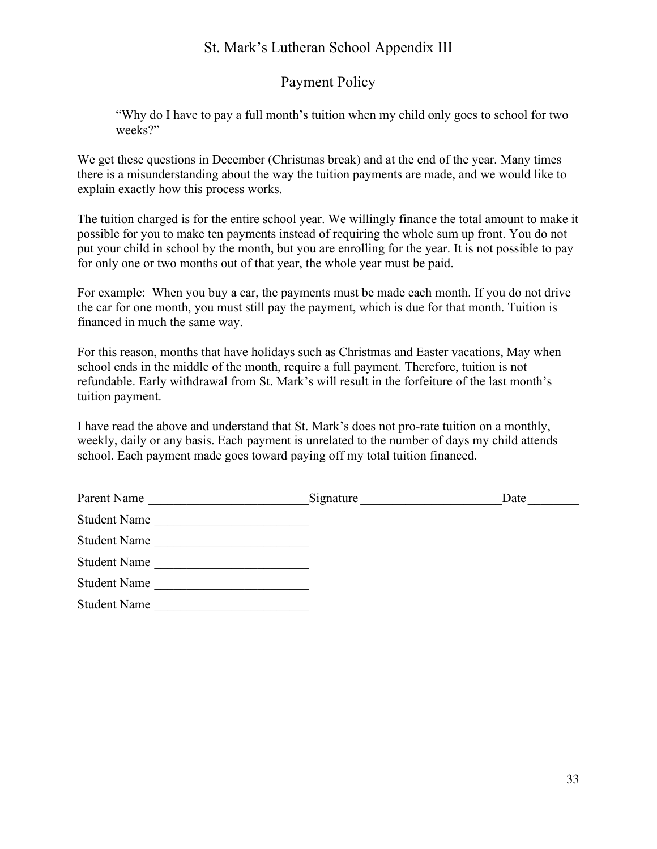# St. Mark's Lutheran School Appendix III

# Payment Policy

"Why do I have to pay a full month's tuition when my child only goes to school for two weeks?"

We get these questions in December (Christmas break) and at the end of the year. Many times there is a misunderstanding about the way the tuition payments are made, and we would like to explain exactly how this process works.

The tuition charged is for the entire school year. We willingly finance the total amount to make it possible for you to make ten payments instead of requiring the whole sum up front. You do not put your child in school by the month, but you are enrolling for the year. It is not possible to pay for only one or two months out of that year, the whole year must be paid.

For example: When you buy a car, the payments must be made each month. If you do not drive the car for one month, you must still pay the payment, which is due for that month. Tuition is financed in much the same way.

For this reason, months that have holidays such as Christmas and Easter vacations, May when school ends in the middle of the month, require a full payment. Therefore, tuition is not refundable. Early withdrawal from St. Mark's will result in the forfeiture of the last month's tuition payment.

I have read the above and understand that St. Mark's does not pro-rate tuition on a monthly, weekly, daily or any basis. Each payment is unrelated to the number of days my child attends school. Each payment made goes toward paying off my total tuition financed.

| Parent Name         | Signature | Date |
|---------------------|-----------|------|
| <b>Student Name</b> |           |      |
| <b>Student Name</b> |           |      |
| <b>Student Name</b> |           |      |
| <b>Student Name</b> |           |      |
| <b>Student Name</b> |           |      |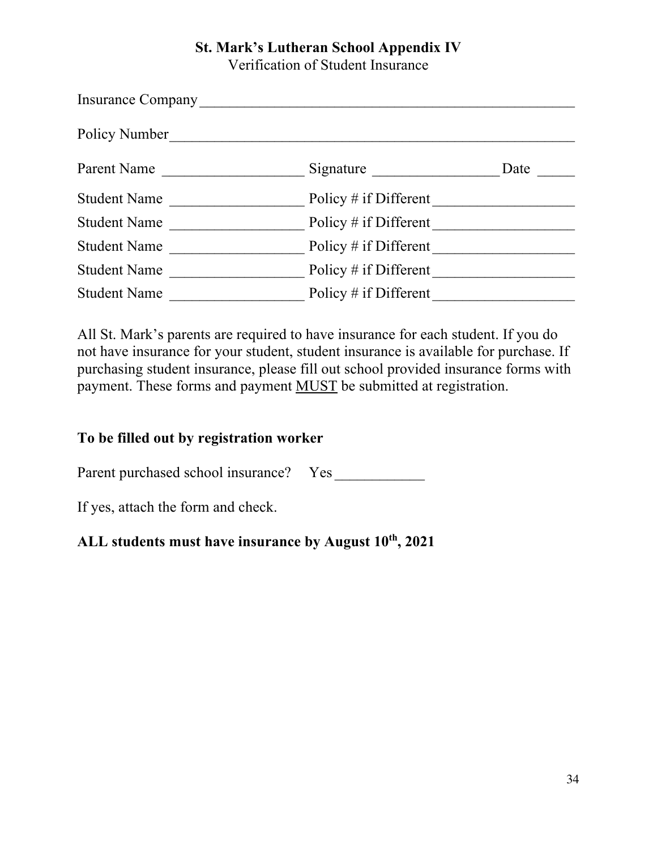# **St. Mark's Lutheran School Appendix IV**

Verification of Student Insurance

| Insurance Company   |                         |      |
|---------------------|-------------------------|------|
| Policy Number       |                         |      |
| Parent Name         | Signature               | Date |
| <b>Student Name</b> | Policy $#$ if Different |      |
| <b>Student Name</b> | Policy $#$ if Different |      |
| <b>Student Name</b> | Policy $#$ if Different |      |
| <b>Student Name</b> | Policy # if Different   |      |
| <b>Student Name</b> | Policy $#$ if Different |      |

All St. Mark's parents are required to have insurance for each student. If you do not have insurance for your student, student insurance is available for purchase. If purchasing student insurance, please fill out school provided insurance forms with payment. These forms and payment MUST be submitted at registration.

# **To be filled out by registration worker**

Parent purchased school insurance? Yes

If yes, attach the form and check.

# ALL students must have insurance by August  $10^{th}$ , 2021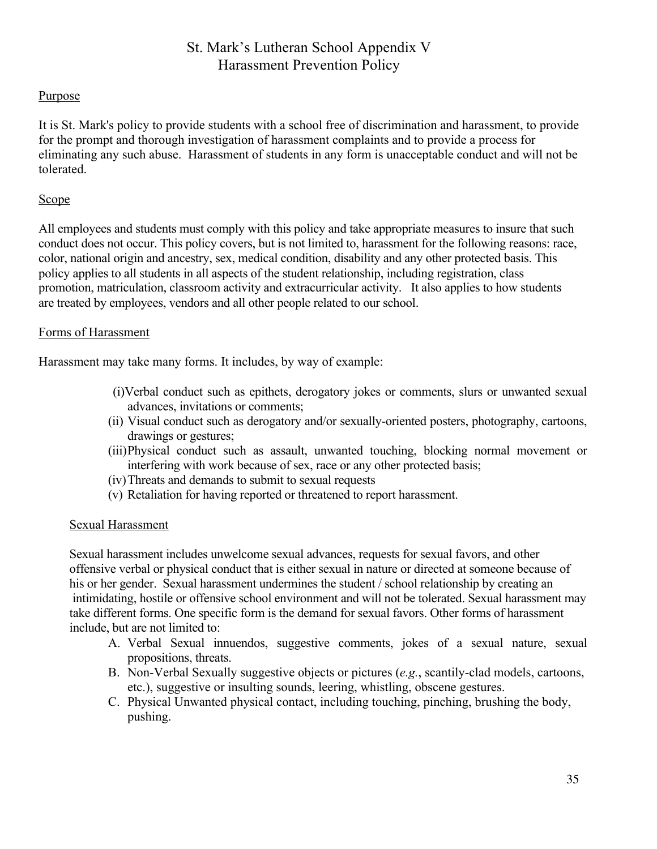# St. Mark's Lutheran School Appendix V Harassment Prevention Policy

#### Purpose

It is St. Mark's policy to provide students with a school free of discrimination and harassment, to provide for the prompt and thorough investigation of harassment complaints and to provide a process for eliminating any such abuse. Harassment of students in any form is unacceptable conduct and will not be tolerated.

#### Scope

All employees and students must comply with this policy and take appropriate measures to insure that such conduct does not occur. This policy covers, but is not limited to, harassment for the following reasons: race, color, national origin and ancestry, sex, medical condition, disability and any other protected basis. This policy applies to all students in all aspects of the student relationship, including registration, class promotion, matriculation, classroom activity and extracurricular activity. It also applies to how students are treated by employees, vendors and all other people related to our school.

#### Forms of Harassment

Harassment may take many forms. It includes, by way of example:

- (i)Verbal conduct such as epithets, derogatory jokes or comments, slurs or unwanted sexual advances, invitations or comments;
- (ii) Visual conduct such as derogatory and/or sexually-oriented posters, photography, cartoons, drawings or gestures;
- (iii)Physical conduct such as assault, unwanted touching, blocking normal movement or interfering with work because of sex, race or any other protected basis;
- (iv)Threats and demands to submit to sexual requests
- (v) Retaliation for having reported or threatened to report harassment.

#### Sexual Harassment

Sexual harassment includes unwelcome sexual advances, requests for sexual favors, and other offensive verbal or physical conduct that is either sexual in nature or directed at someone because of his or her gender. Sexual harassment undermines the student / school relationship by creating an intimidating, hostile or offensive school environment and will not be tolerated. Sexual harassment may take different forms. One specific form is the demand for sexual favors. Other forms of harassment include, but are not limited to:

- A. Verbal Sexual innuendos, suggestive comments, jokes of a sexual nature, sexual propositions, threats.
- B. Non-Verbal Sexually suggestive objects or pictures (*e.g.*, scantily-clad models, cartoons, etc.), suggestive or insulting sounds, leering, whistling, obscene gestures.
- C. Physical Unwanted physical contact, including touching, pinching, brushing the body, pushing.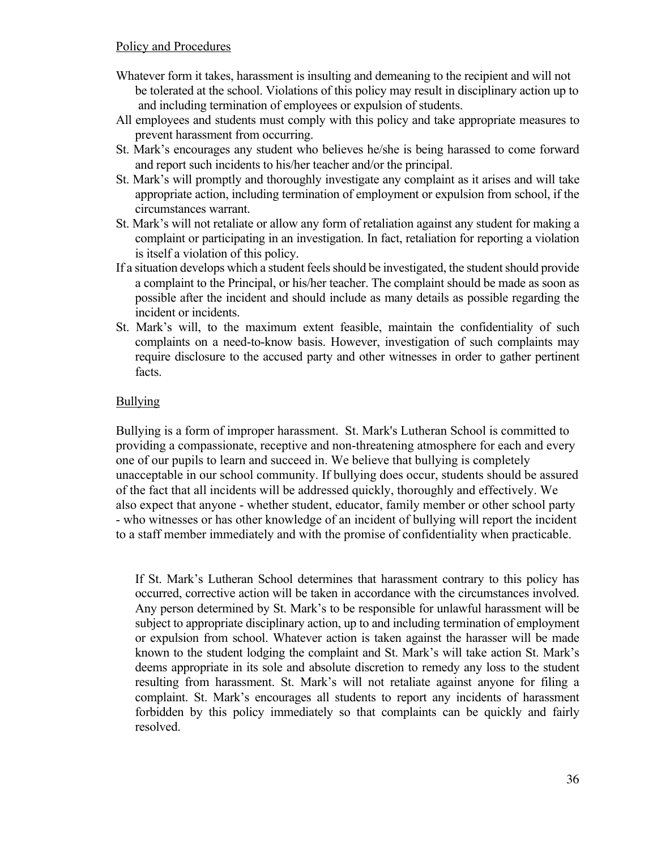- Whatever form it takes, harassment is insulting and demeaning to the recipient and will not be tolerated at the school. Violations of this policy may result in disciplinary action up to and including termination of employees or expulsion of students.
- All employees and students must comply with this policy and take appropriate measures to prevent harassment from occurring.
- St. Mark's encourages any student who believes he/she is being harassed to come forward and report such incidents to his/her teacher and/or the principal.
- St. Mark's will promptly and thoroughly investigate any complaint as it arises and will take appropriate action, including termination of employment or expulsion from school, if the circumstances warrant.
- St. Mark's will not retaliate or allow any form of retaliation against any student for making a complaint or participating in an investigation. In fact, retaliation for reporting a violation is itself a violation of this policy.
- If a situation develops which a student feels should be investigated, the student should provide a complaint to the Principal, or his/her teacher. The complaint should be made as soon as possible after the incident and should include as many details as possible regarding the incident or incidents.
- St. Mark's will, to the maximum extent feasible, maintain the confidentiality of such complaints on a need-to-know basis. However, investigation of such complaints may require disclosure to the accused party and other witnesses in order to gather pertinent facts.

# **Bullying**

Bullying is a form of improper harassment. St. Mark's Lutheran School is committed to providing a compassionate, receptive and non-threatening atmosphere for each and every one of our pupils to learn and succeed in. We believe that bullying is completely unacceptable in our school community. If bullying does occur, students should be assured of the fact that all incidents will be addressed quickly, thoroughly and effectively. We also expect that anyone - whether student, educator, family member or other school party - who witnesses or has other knowledge of an incident of bullying will report the incident to a staff member immediately and with the promise of confidentiality when practicable.

If St. Mark's Lutheran School determines that harassment contrary to this policy has occurred, corrective action will be taken in accordance with the circumstances involved. Any person determined by St. Mark's to be responsible for unlawful harassment will be subject to appropriate disciplinary action, up to and including termination of employment or expulsion from school. Whatever action is taken against the harasser will be made known to the student lodging the complaint and St. Mark's will take action St. Mark's deems appropriate in its sole and absolute discretion to remedy any loss to the student resulting from harassment. St. Mark's will not retaliate against anyone for filing a complaint. St. Mark's encourages all students to report any incidents of harassment forbidden by this policy immediately so that complaints can be quickly and fairly resolved.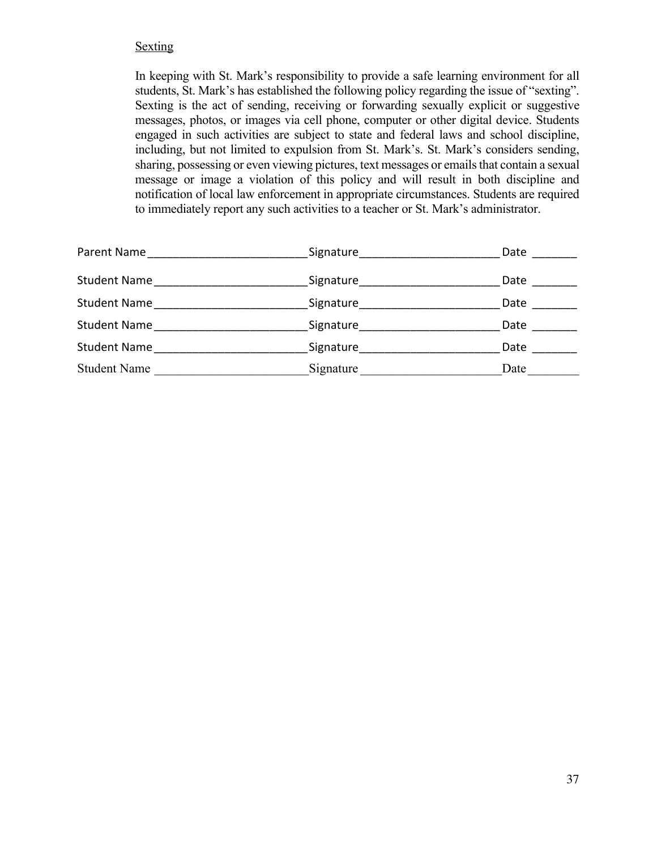#### **Sexting**

In keeping with St. Mark's responsibility to provide a safe learning environment for all students, St. Mark's has established the following policy regarding the issue of "sexting". Sexting is the act of sending, receiving or forwarding sexually explicit or suggestive messages, photos, or images via cell phone, computer or other digital device. Students engaged in such activities are subject to state and federal laws and school discipline, including, but not limited to expulsion from St. Mark's. St. Mark's considers sending, sharing, possessing or even viewing pictures, text messages or emails that contain a sexual message or image a violation of this policy and will result in both discipline and notification of local law enforcement in appropriate circumstances. Students are required to immediately report any such activities to a teacher or St. Mark's administrator.

| Signature______________________                                                                                | Date |
|----------------------------------------------------------------------------------------------------------------|------|
| Signature and the state of the state of the state of the state of the state of the state of the state of the s | Date |
| Signature___________________                                                                                   | Date |
| Signature                                                                                                      | Date |
| Signature                                                                                                      | Date |
| Signature                                                                                                      | Date |
|                                                                                                                |      |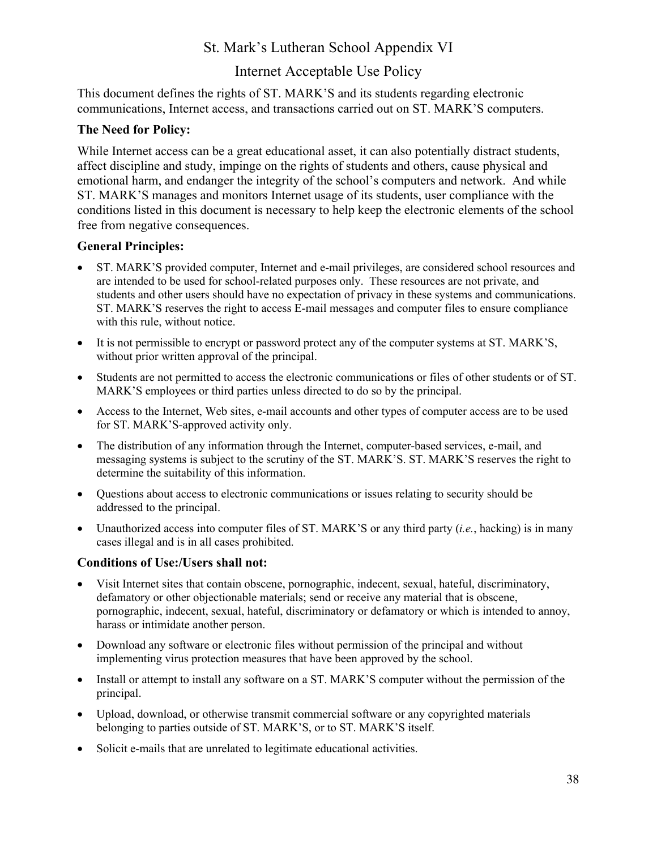# St. Mark's Lutheran School Appendix VI

# Internet Acceptable Use Policy

This document defines the rights of ST. MARK'S and its students regarding electronic communications, Internet access, and transactions carried out on ST. MARK'S computers.

#### **The Need for Policy:**

While Internet access can be a great educational asset, it can also potentially distract students, affect discipline and study, impinge on the rights of students and others, cause physical and emotional harm, and endanger the integrity of the school's computers and network. And while ST. MARK'S manages and monitors Internet usage of its students, user compliance with the conditions listed in this document is necessary to help keep the electronic elements of the school free from negative consequences.

#### **General Principles:**

- ST. MARK'S provided computer, Internet and e-mail privileges, are considered school resources and are intended to be used for school-related purposes only. These resources are not private, and students and other users should have no expectation of privacy in these systems and communications. ST. MARK'S reserves the right to access E-mail messages and computer files to ensure compliance with this rule, without notice.
- It is not permissible to encrypt or password protect any of the computer systems at ST. MARK'S, without prior written approval of the principal.
- Students are not permitted to access the electronic communications or files of other students or of ST. MARK'S employees or third parties unless directed to do so by the principal.
- Access to the Internet, Web sites, e-mail accounts and other types of computer access are to be used for ST. MARK'S-approved activity only.
- The distribution of any information through the Internet, computer-based services, e-mail, and messaging systems is subject to the scrutiny of the ST. MARK'S. ST. MARK'S reserves the right to determine the suitability of this information.
- Questions about access to electronic communications or issues relating to security should be addressed to the principal.
- Unauthorized access into computer files of ST. MARK'S or any third party (*i.e.*, hacking) is in many cases illegal and is in all cases prohibited.

## **Conditions of Use:/Users shall not:**

- Visit Internet sites that contain obscene, pornographic, indecent, sexual, hateful, discriminatory, defamatory or other objectionable materials; send or receive any material that is obscene, pornographic, indecent, sexual, hateful, discriminatory or defamatory or which is intended to annoy, harass or intimidate another person.
- Download any software or electronic files without permission of the principal and without implementing virus protection measures that have been approved by the school.
- Install or attempt to install any software on a ST. MARK'S computer without the permission of the principal.
- Upload, download, or otherwise transmit commercial software or any copyrighted materials belonging to parties outside of ST. MARK'S, or to ST. MARK'S itself.
- Solicit e-mails that are unrelated to legitimate educational activities.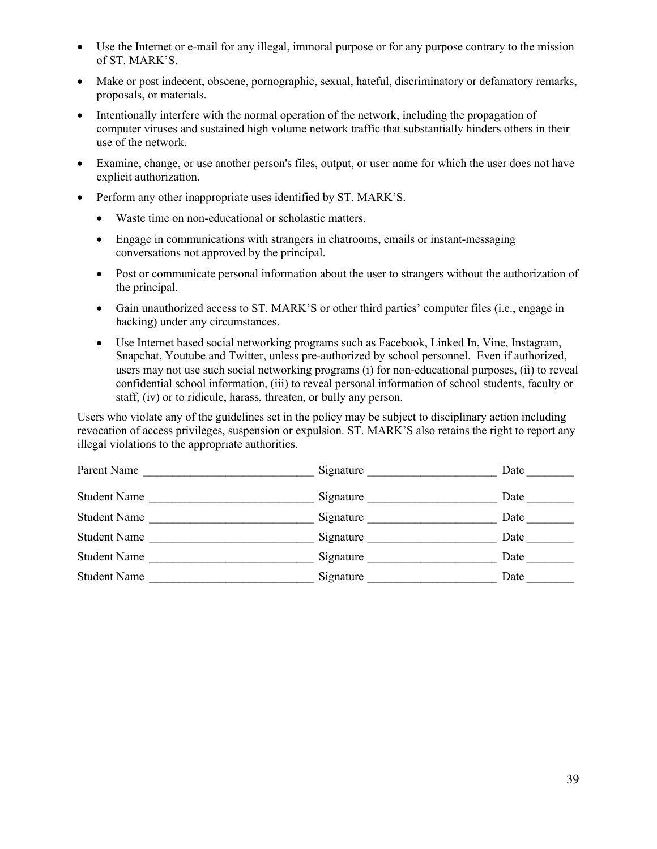- Use the Internet or e-mail for any illegal, immoral purpose or for any purpose contrary to the mission of ST. MARK'S.
- Make or post indecent, obscene, pornographic, sexual, hateful, discriminatory or defamatory remarks, proposals, or materials.
- Intentionally interfere with the normal operation of the network, including the propagation of computer viruses and sustained high volume network traffic that substantially hinders others in their use of the network.
- Examine, change, or use another person's files, output, or user name for which the user does not have explicit authorization.
- Perform any other inappropriate uses identified by ST. MARK'S.
	- Waste time on non-educational or scholastic matters.
	- Engage in communications with strangers in chatrooms, emails or instant-messaging conversations not approved by the principal.
	- Post or communicate personal information about the user to strangers without the authorization of the principal.
	- Gain unauthorized access to ST. MARK'S or other third parties' computer files (i.e., engage in hacking) under any circumstances.
	- Use Internet based social networking programs such as Facebook, Linked In, Vine, Instagram, Snapchat, Youtube and Twitter, unless pre-authorized by school personnel. Even if authorized, users may not use such social networking programs (i) for non-educational purposes, (ii) to reveal confidential school information, (iii) to reveal personal information of school students, faculty or staff, (iv) or to ridicule, harass, threaten, or bully any person.

Users who violate any of the guidelines set in the policy may be subject to disciplinary action including revocation of access privileges, suspension or expulsion. ST. MARK'S also retains the right to report any illegal violations to the appropriate authorities.

| Parent Name         | Signature | Date |
|---------------------|-----------|------|
| <b>Student Name</b> | Signature | Date |
| <b>Student Name</b> | Signature | Date |
| <b>Student Name</b> | Signature | Date |
| <b>Student Name</b> | Signature | Date |
| <b>Student Name</b> | Signature | Date |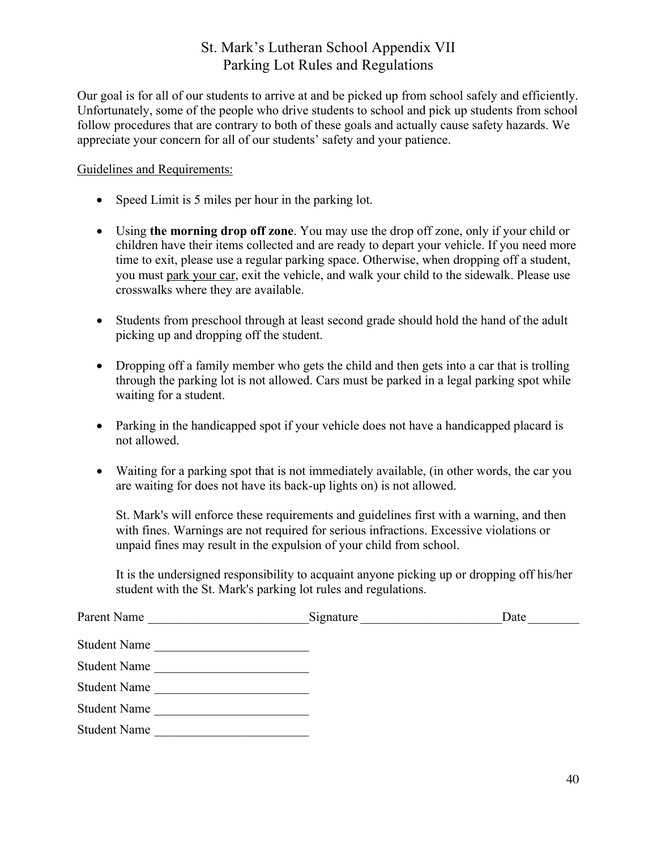# St. Mark's Lutheran School Appendix VII Parking Lot Rules and Regulations

Our goal is for all of our students to arrive at and be picked up from school safely and efficiently. Unfortunately, some of the people who drive students to school and pick up students from school follow procedures that are contrary to both of these goals and actually cause safety hazards. We appreciate your concern for all of our students' safety and your patience.

#### Guidelines and Requirements:

- Speed Limit is 5 miles per hour in the parking lot.
- Using **the morning drop off zone**. You may use the drop off zone, only if your child or children have their items collected and are ready to depart your vehicle. If you need more time to exit, please use a regular parking space. Otherwise, when dropping off a student, you must park your car, exit the vehicle, and walk your child to the sidewalk. Please use crosswalks where they are available.
- Students from preschool through at least second grade should hold the hand of the adult picking up and dropping off the student.
- Dropping off a family member who gets the child and then gets into a car that is trolling through the parking lot is not allowed. Cars must be parked in a legal parking spot while waiting for a student.
- Parking in the handicapped spot if your vehicle does not have a handicapped placard is not allowed.
- Waiting for a parking spot that is not immediately available, (in other words, the car you are waiting for does not have its back-up lights on) is not allowed.

St. Mark's will enforce these requirements and guidelines first with a warning, and then with fines. Warnings are not required for serious infractions. Excessive violations or unpaid fines may result in the expulsion of your child from school.

It is the undersigned responsibility to acquaint anyone picking up or dropping off his/her student with the St. Mark's parking lot rules and regulations.

| Parent Name         | Signature | Date |
|---------------------|-----------|------|
| <b>Student Name</b> |           |      |
| <b>Student Name</b> |           |      |
| <b>Student Name</b> |           |      |
| <b>Student Name</b> |           |      |
| <b>Student Name</b> |           |      |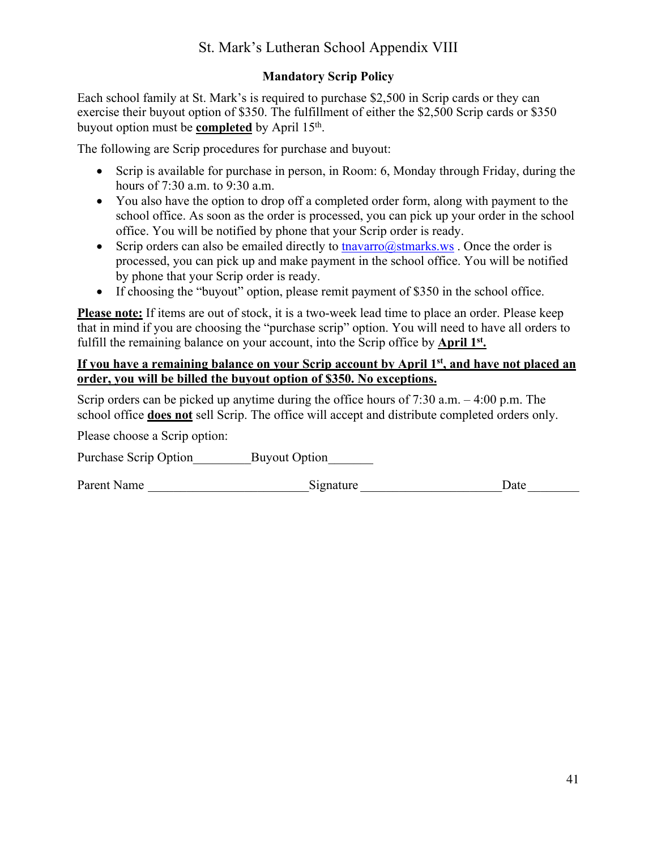# St. Mark's Lutheran School Appendix VIII

# **Mandatory Scrip Policy**

Each school family at St. Mark's is required to purchase \$2,500 in Scrip cards or they can exercise their buyout option of \$350. The fulfillment of either the \$2,500 Scrip cards or \$350 buyout option must be **completed** by April 15th.

The following are Scrip procedures for purchase and buyout:

- Scrip is available for purchase in person, in Room: 6, Monday through Friday, during the hours of 7:30 a.m. to 9:30 a.m.
- You also have the option to drop off a completed order form, along with payment to the school office. As soon as the order is processed, you can pick up your order in the school office. You will be notified by phone that your Scrip order is ready.
- Scrip orders can also be emailed directly to  $\frac{\text{maxaro}(a) \times \text{maxv}}{\text{maxv}}$ . Once the order is processed, you can pick up and make payment in the school office. You will be notified by phone that your Scrip order is ready.
- If choosing the "buyout" option, please remit payment of \$350 in the school office.

**Please note:** If items are out of stock, it is a two-week lead time to place an order. Please keep that in mind if you are choosing the "purchase scrip" option. You will need to have all orders to fulfill the remaining balance on your account, into the Scrip office by **April 1st**.

## If you have a remaining balance on your Scrip account by April 1<sup>st</sup>, and have not placed an **order, you will be billed the buyout option of \$350. No exceptions.**

Scrip orders can be picked up anytime during the office hours of 7:30 a.m. – 4:00 p.m. The school office **does not** sell Scrip. The office will accept and distribute completed orders only.

Please choose a Scrip option:

Purchase Scrip Option Buyout Option

Parent Name **Example 2** Signature **Example 2** Signature **Example 2** Date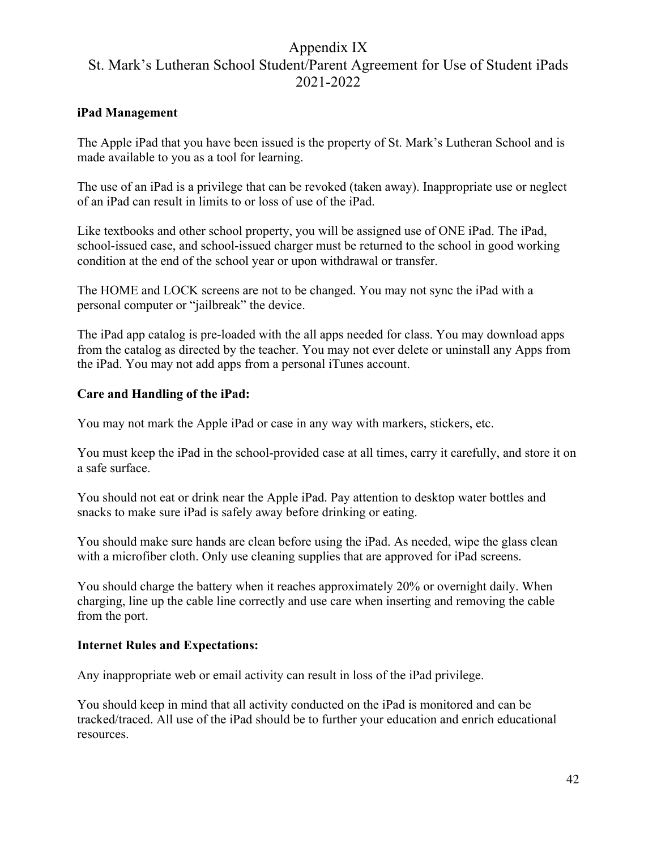# Appendix IX St. Mark's Lutheran School Student/Parent Agreement for Use of Student iPads 2021-2022

#### **iPad Management**

The Apple iPad that you have been issued is the property of St. Mark's Lutheran School and is made available to you as a tool for learning.

The use of an iPad is a privilege that can be revoked (taken away). Inappropriate use or neglect of an iPad can result in limits to or loss of use of the iPad.

Like textbooks and other school property, you will be assigned use of ONE iPad. The iPad, school-issued case, and school-issued charger must be returned to the school in good working condition at the end of the school year or upon withdrawal or transfer.

The HOME and LOCK screens are not to be changed. You may not sync the iPad with a personal computer or "jailbreak" the device.

The iPad app catalog is pre-loaded with the all apps needed for class. You may download apps from the catalog as directed by the teacher. You may not ever delete or uninstall any Apps from the iPad. You may not add apps from a personal iTunes account.

#### **Care and Handling of the iPad:**

You may not mark the Apple iPad or case in any way with markers, stickers, etc.

You must keep the iPad in the school-provided case at all times, carry it carefully, and store it on a safe surface.

You should not eat or drink near the Apple iPad. Pay attention to desktop water bottles and snacks to make sure iPad is safely away before drinking or eating.

You should make sure hands are clean before using the iPad. As needed, wipe the glass clean with a microfiber cloth. Only use cleaning supplies that are approved for iPad screens.

You should charge the battery when it reaches approximately 20% or overnight daily. When charging, line up the cable line correctly and use care when inserting and removing the cable from the port.

#### **Internet Rules and Expectations:**

Any inappropriate web or email activity can result in loss of the iPad privilege.

You should keep in mind that all activity conducted on the iPad is monitored and can be tracked/traced. All use of the iPad should be to further your education and enrich educational resources.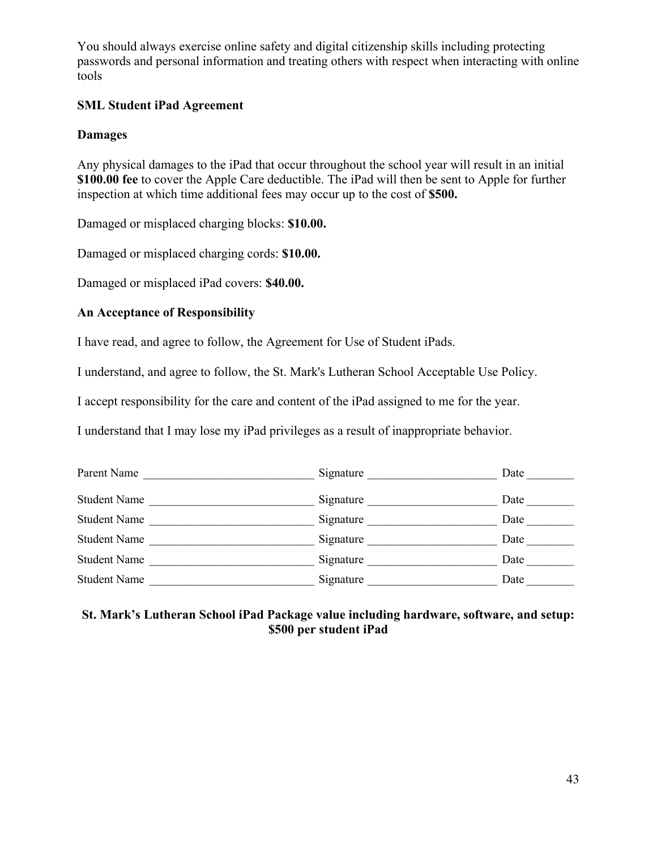You should always exercise online safety and digital citizenship skills including protecting passwords and personal information and treating others with respect when interacting with online tools

#### **SML Student iPad Agreement**

#### **Damages**

Any physical damages to the iPad that occur throughout the school year will result in an initial **\$100.00 fee** to cover the Apple Care deductible. The iPad will then be sent to Apple for further inspection at which time additional fees may occur up to the cost of **\$500.** 

Damaged or misplaced charging blocks: **\$10.00.**

Damaged or misplaced charging cords: **\$10.00.**

Damaged or misplaced iPad covers: **\$40.00.**

#### **An Acceptance of Responsibility**

I have read, and agree to follow, the Agreement for Use of Student iPads.

I understand, and agree to follow, the St. Mark's Lutheran School Acceptable Use Policy.

I accept responsibility for the care and content of the iPad assigned to me for the year.

I understand that I may lose my iPad privileges as a result of inappropriate behavior.

| Parent Name         | Signature | Date |
|---------------------|-----------|------|
|                     |           |      |
| <b>Student Name</b> | Signature | Date |
| <b>Student Name</b> | Signature | Date |
| <b>Student Name</b> | Signature | Date |
| <b>Student Name</b> | Signature | Date |
| <b>Student Name</b> | Signature | Date |

#### **St. Mark's Lutheran School iPad Package value including hardware, software, and setup: \$500 per student iPad**